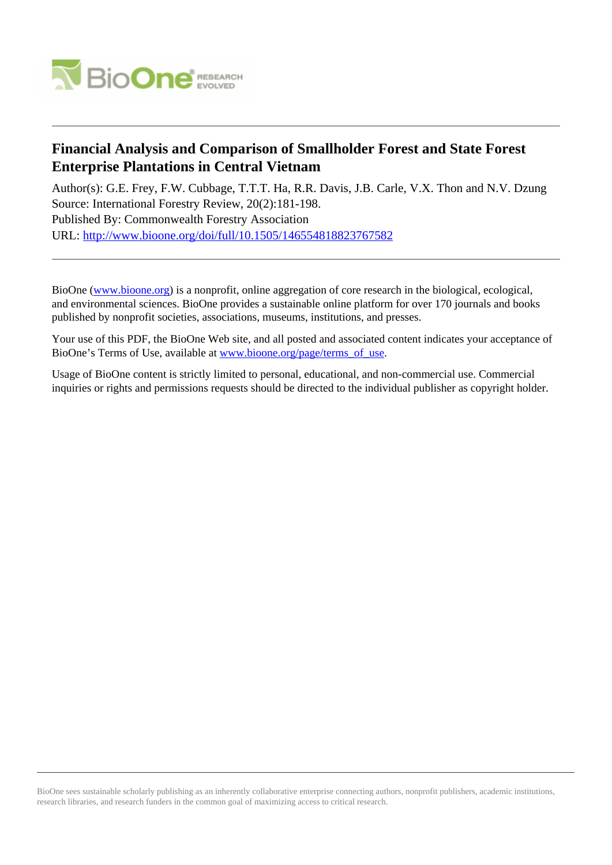

# **Financial Analysis and Comparison of Smallholder Forest and State Forest Enterprise Plantations in Central Vietnam**

Author(s): G.E. Frey, F.W. Cubbage, T.T.T. Ha, R.R. Davis, J.B. Carle, V.X. Thon and N.V. Dzung Source: International Forestry Review, 20(2):181-198. Published By: Commonwealth Forestry Association URL: <http://www.bioone.org/doi/full/10.1505/146554818823767582>

BioOne [\(www.bioone.org\)](http://www.bioone.org) is a nonprofit, online aggregation of core research in the biological, ecological, and environmental sciences. BioOne provides a sustainable online platform for over 170 journals and books published by nonprofit societies, associations, museums, institutions, and presses.

Your use of this PDF, the BioOne Web site, and all posted and associated content indicates your acceptance of BioOne's Terms of Use, available at [www.bioone.org/page/terms\\_of\\_use.](http://www.bioone.org/page/terms_of_use)

Usage of BioOne content is strictly limited to personal, educational, and non-commercial use. Commercial inquiries or rights and permissions requests should be directed to the individual publisher as copyright holder.

BioOne sees sustainable scholarly publishing as an inherently collaborative enterprise connecting authors, nonprofit publishers, academic institutions, research libraries, and research funders in the common goal of maximizing access to critical research.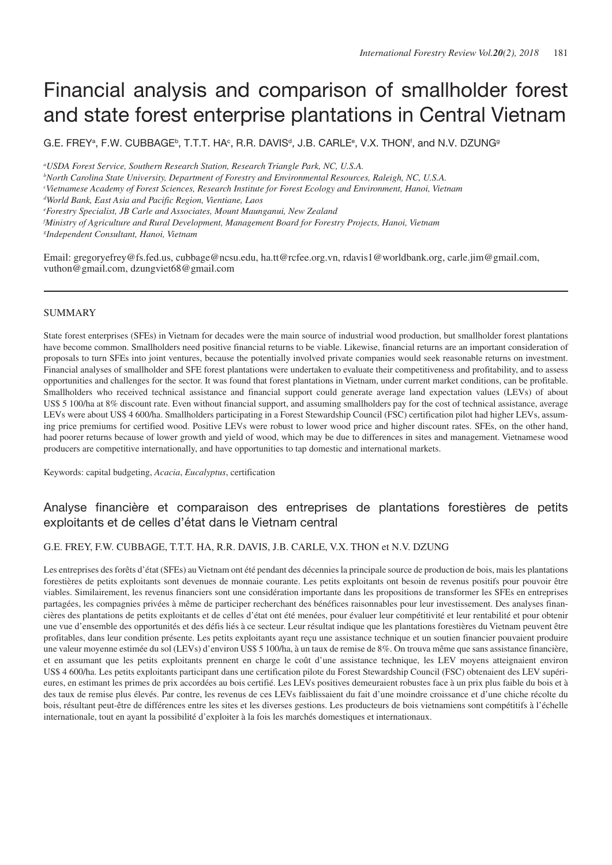# Financial analysis and comparison of smallholder forest and state forest enterprise plantations in Central Vietnam

G.E. FREYª, F.W. CUBBAGEʰ, T.T.T. HA°, R.R. DAVISª, J.B. CARLEº, V.X. THONʲ, and N.V. DZUNGº

*a USDA Forest Service, Southern Research Station, Research Triangle Park, NC, U.S.A. b North Carolina State University, Department of Forestry and Environmental Resources, Raleigh, NC, U.S.A. c Vietnamese Academy of Forest Sciences, Research Institute for Forest Ecology and Environment, Hanoi, Vietnam d World Bank, East Asia and Pacific Region, Vientiane, Laos e Forestry Specialist, JB Carle and Associates, Mount Maunganui, New Zealand f Ministry of Agriculture and Rural Development, Management Board for Forestry Projects, Hanoi, Vietnam g Independent Consultant, Hanoi, Vietnam*

Email: gregoryefrey@fs.fed.us, cubbage@ncsu.edu, ha.tt@rcfee.org.vn, rdavis1@worldbank.org, carle.jim@gmail.com, vuthon@gmail.com, dzungviet68@gmail.com

# **SUMMARY**

State forest enterprises (SFEs) in Vietnam for decades were the main source of industrial wood production, but smallholder forest plantations have become common. Smallholders need positive financial returns to be viable. Likewise, financial returns are an important consideration of proposals to turn SFEs into joint ventures, because the potentially involved private companies would seek reasonable returns on investment. Financial analyses of smallholder and SFE forest plantations were undertaken to evaluate their competitiveness and profitability, and to assess opportunities and challenges for the sector. It was found that forest plantations in Vietnam, under current market conditions, can be profitable. Smallholders who received technical assistance and financial support could generate average land expectation values (LEVs) of about US\$ 5 100/ha at 8% discount rate. Even without financial support, and assuming smallholders pay for the cost of technical assistance, average LEVs were about US\$ 4 600/ha. Smallholders participating in a Forest Stewardship Council (FSC) certification pilot had higher LEVs, assuming price premiums for certified wood. Positive LEVs were robust to lower wood price and higher discount rates. SFEs, on the other hand, had poorer returns because of lower growth and yield of wood, which may be due to differences in sites and management. Vietnamese wood producers are competitive internationally, and have opportunities to tap domestic and international markets.

Keywords: capital budgeting, *Acacia*, *Eucalyptus*, certification

# Analyse financière et comparaison des entreprises de plantations forestières de petits exploitants et de celles d'état dans le Vietnam central

# G.E. FREY, F.W. CUBBAGE, T.T.T. HA, R.R. DAVIS, J.B. CARLE, V.X. THON et N.V. DZUNG

Les entreprises des forêts d'état (SFEs) au Vietnam ont été pendant des décennies la principale source de production de bois, mais les plantations forestières de petits exploitants sont devenues de monnaie courante. Les petits exploitants ont besoin de revenus positifs pour pouvoir être viables. Similairement, les revenus financiers sont une considération importante dans les propositions de transformer les SFEs en entreprises partagées, les compagnies privées à même de participer recherchant des bénéfices raisonnables pour leur investissement. Des analyses financières des plantations de petits exploitants et de celles d'état ont été menées, pour évaluer leur compétitivité et leur rentabilité et pour obtenir une vue d'ensemble des opportunités et des défis liés à ce secteur. Leur résultat indique que les plantations forestières du Vietnam peuvent être profitables, dans leur condition présente. Les petits exploitants ayant reçu une assistance technique et un soutien financier pouvaient produire une valeur moyenne estimée du sol (LEVs) d'environ US\$ 5 100/ha, à un taux de remise de 8%. On trouva même que sans assistance financière, et en assumant que les petits exploitants prennent en charge le coût d'une assistance technique, les LEV moyens atteignaient environ US\$ 4 600/ha. Les petits exploitants participant dans une certification pilote du Forest Stewardship Council (FSC) obtenaient des LEV supérieures, en estimant les primes de prix accordées au bois certifié. Les LEVs positives demeuraient robustes face à un prix plus faible du bois et à des taux de remise plus élevés. Par contre, les revenus de ces LEVs faiblissaient du fait d'une moindre croissance et d'une chiche récolte du bois, résultant peut-être de différences entre les sites et les diverses gestions. Les producteurs de bois vietnamiens sont compétitifs à l'échelle internationale, tout en ayant la possibilité d'exploiter à la fois les marchés domestiques et internationaux.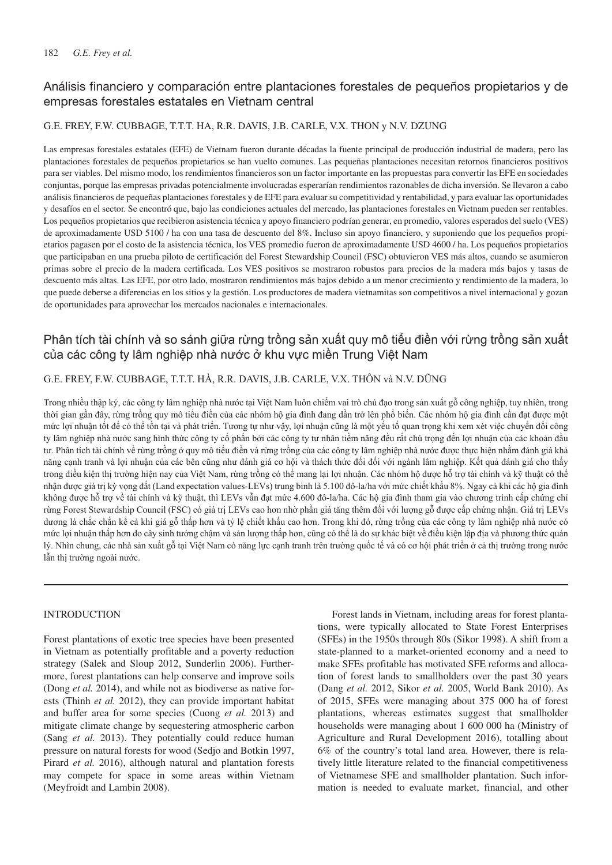# Análisis financiero y comparación entre plantaciones forestales de pequeños propietarios y de empresas forestales estatales en Vietnam central

# G.E. FREY, F.W. CUBBAGE, T.T.T. HA, R.R. DAVIS, J.B. CARLE, V.X. THON y N.V. DZUNG

Las empresas forestales estatales (EFE) de Vietnam fueron durante décadas la fuente principal de producción industrial de madera, pero las plantaciones forestales de pequeños propietarios se han vuelto comunes. Las pequeñas plantaciones necesitan retornos financieros positivos para ser viables. Del mismo modo, los rendimientos financieros son un factor importante en las propuestas para convertir las EFE en sociedades conjuntas, porque las empresas privadas potencialmente involucradas esperarían rendimientos razonables de dicha inversión. Se llevaron a cabo análisis financieros de pequeñas plantaciones forestales y de EFE para evaluar su competitividad y rentabilidad, y para evaluar las oportunidades y desafíos en el sector. Se encontró que, bajo las condiciones actuales del mercado, las plantaciones forestales en Vietnam pueden ser rentables. Los pequeños propietarios que recibieron asistencia técnica y apoyo financiero podrían generar, en promedio, valores esperados del suelo (VES) de aproximadamente USD 5100 / ha con una tasa de descuento del 8%. Incluso sin apoyo financiero, y suponiendo que los pequeños propietarios pagasen por el costo de la asistencia técnica, los VES promedio fueron de aproximadamente USD 4600 / ha. Los pequeños propietarios que participaban en una prueba piloto de certificación del Forest Stewardship Council (FSC) obtuvieron VES más altos, cuando se asumieron primas sobre el precio de la madera certificada. Los VES positivos se mostraron robustos para precios de la madera más bajos y tasas de descuento más altas. Las EFE, por otro lado, mostraron rendimientos más bajos debido a un menor crecimiento y rendimiento de la madera, lo que puede deberse a diferencias en los sitios y la gestión. Los productores de madera vietnamitas son competitivos a nivel internacional y gozan de oportunidades para aprovechar los mercados nacionales e internacionales.

# Phân tích tài chính và so sánh giữa rừng trồng sản xuất quy mô tiểu điền với rừng trồng sản xuất của các công ty lâm nghiệp nhà nước ở khu vực miền Trung Việt Nam

# G.E. FREY, F.W. CUBBAGE, T.T.T. HÀ, R.R. DAVIS, J.B. CARLE, V.X. THÔN và N.V. DŨNG

Trong nhiều thập kỷ, các công ty lâm nghiệp nhà nước tại Việt Nam luôn chiếm vai trò chủ đạo trong sản xuất gỗ công nghiệp, tuy nhiên, trong thời gian gần đây, rừng trồng quy mô tiểu điền của các nhóm hộ gia đình đang dần trở lên phổ biến. Các nhóm hộ gia đình cần đạt được một mức lợi nhuận tốt để có thể tồn tại và phát triển. Tương tự như vậy, lợi nhuận cũng là một yếu tố quan trọng khi xem xét việc chuyển đổi công ty lâm nghiệp nhà nước sang hình thức công ty cổ phẩn bởi các công ty tư nhân tiềm năng đều rất chú trọng đến lợi nhuận của các khoản đầu tư. Phân tích tài chính về rừng trồng ở quy mô tiểu điền và rừng trồng của các công ty lâm nghiệp nhà nước được thực hiện nhằm đánh giá khả năng cạnh tranh và lợi nhuận của các bên cũng như đánh giá cơ hội và thách thức đối đối với ngành lâm nghiệp. Kết quả đánh giá cho thấy trong điều kiện thị trường hiện nay của Việt Nam, rừng trồng có thể mang lại lợi nhuận. Các nhóm hộ được hỗ trợ tài chính và kỹ thuật có thể nhận được giá trị kỳ vọng đất (Land expectation values-LEVs) trung bình là 5.100 đô-la/ha với mức chiết khấu 8%. Ngay cả khi các hộ gia đình không được hỗ trợ về tài chính và kỹ thuật, thì LEVs vẫn đạt mức 4.600 đô-la/ha. Các hộ gia đình tham gia vào chương trình cấp chứng chỉ rừng Forest Stewardship Council (FSC) có giá trị LEVs cao hơn nhờ phần giá tăng thêm đối với lượng gỗ được cấp chứng nhận. Giá trị LEVs dương là chắc chắn kể cả khi giá gỗ thấp hơn và tỷ lệ chiết khấu cao hơn. Trong khi đó, rừng trồng của các công ty lâm nghiệp nhà nước có mức lợi nhuận thấp hơn do cây sinh tưởng chậm và sản lượng thấp hơn, cũng có thể là do sự khác biệt về điều kiện lập địa và phương thức quản lý. Nhìn chung, các nhà sản xuất gỗ tại Việt Nam có năng lực cạnh tranh trên trường quốc tế và có cơ hội phát triển ở cả thị trường trong nước lẫn thị trường ngoài nước.

# INTRODUCTION

Forest plantations of exotic tree species have been presented in Vietnam as potentially profitable and a poverty reduction strategy (Salek and Sloup 2012, Sunderlin 2006). Furthermore, forest plantations can help conserve and improve soils (Dong *et al.* 2014), and while not as biodiverse as native forests (Thinh *et al.* 2012), they can provide important habitat and buffer area for some species (Cuong *et al.* 2013) and mitigate climate change by sequestering atmospheric carbon (Sang *et al.* 2013). They potentially could reduce human pressure on natural forests for wood (Sedjo and Botkin 1997, Pirard *et al.* 2016), although natural and plantation forests may compete for space in some areas within Vietnam (Meyfroidt and Lambin 2008).

Forest lands in Vietnam, including areas for forest plantations, were typically allocated to State Forest Enterprises (SFEs) in the 1950s through 80s (Sikor 1998). A shift from a state-planned to a market-oriented economy and a need to make SFEs profitable has motivated SFE reforms and allocation of forest lands to smallholders over the past 30 years (Dang *et al.* 2012, Sikor *et al.* 2005, World Bank 2010). As of 2015, SFEs were managing about 375 000 ha of forest plantations, whereas estimates suggest that smallholder households were managing about 1 600 000 ha (Ministry of Agriculture and Rural Development 2016), totalling about 6% of the country's total land area. However, there is relatively little literature related to the financial competitiveness of Vietnamese SFE and smallholder plantation. Such information is needed to evaluate market, financial, and other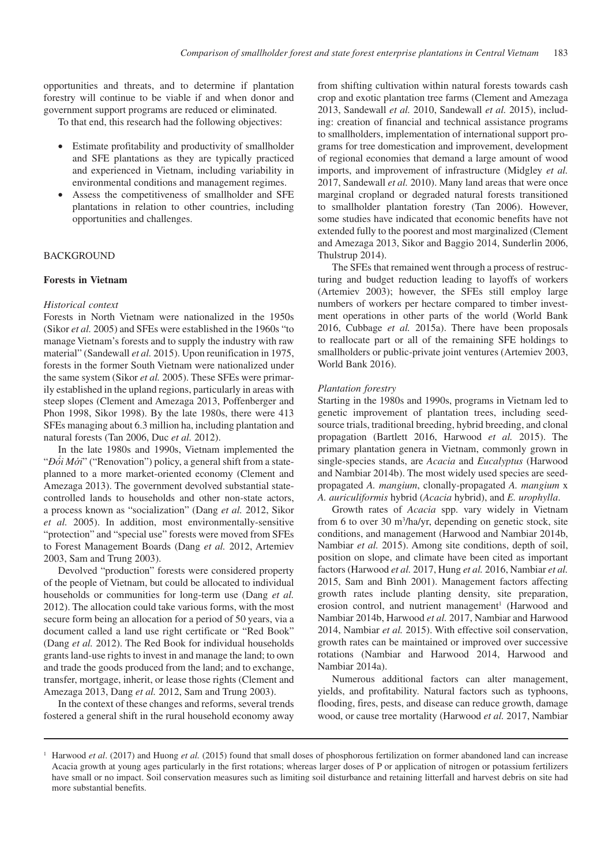opportunities and threats, and to determine if plantation forestry will continue to be viable if and when donor and government support programs are reduced or eliminated.

To that end, this research had the following objectives:

- Estimate profitability and productivity of smallholder and SFE plantations as they are typically practiced and experienced in Vietnam, including variability in environmental conditions and management regimes.
- Assess the competitiveness of smallholder and SFE plantations in relation to other countries, including opportunities and challenges.

## BACKGROUND

# **Forests in Vietnam**

#### *Historical context*

Forests in North Vietnam were nationalized in the 1950s (Sikor *et al.* 2005) and SFEs were established in the 1960s "to manage Vietnam's forests and to supply the industry with raw material" (Sandewall *et al.* 2015). Upon reunification in 1975, forests in the former South Vietnam were nationalized under the same system (Sikor *et al.* 2005). These SFEs were primarily established in the upland regions, particularly in areas with steep slopes (Clement and Amezaga 2013, Poffenberger and Phon 1998, Sikor 1998). By the late 1980s, there were 413 SFEs managing about 6.3 million ha, including plantation and natural forests (Tan 2006, Duc *et al.* 2012).

In the late 1980s and 1990s, Vietnam implemented the "*Ðổi Mới*" ("Renovation") policy, a general shift from a stateplanned to a more market-oriented economy (Clement and Amezaga 2013). The government devolved substantial statecontrolled lands to households and other non-state actors, a process known as "socialization" (Dang *et al.* 2012, Sikor *et al.* 2005). In addition, most environmentally-sensitive "protection" and "special use" forests were moved from SFEs to Forest Management Boards (Dang *et al.* 2012, Artemiev 2003, Sam and Trung 2003).

Devolved "production" forests were considered property of the people of Vietnam, but could be allocated to individual households or communities for long-term use (Dang *et al.* 2012). The allocation could take various forms, with the most secure form being an allocation for a period of 50 years, via a document called a land use right certificate or "Red Book" (Dang *et al.* 2012). The Red Book for individual households grants land-use rights to invest in and manage the land; to own and trade the goods produced from the land; and to exchange, transfer, mortgage, inherit, or lease those rights (Clement and Amezaga 2013, Dang *et al.* 2012, Sam and Trung 2003).

In the context of these changes and reforms, several trends fostered a general shift in the rural household economy away

from shifting cultivation within natural forests towards cash crop and exotic plantation tree farms (Clement and Amezaga 2013, Sandewall *et al.* 2010, Sandewall *et al.* 2015), including: creation of financial and technical assistance programs to smallholders, implementation of international support programs for tree domestication and improvement, development of regional economies that demand a large amount of wood imports, and improvement of infrastructure (Midgley *et al.*  2017, Sandewall *et al.* 2010). Many land areas that were once marginal cropland or degraded natural forests transitioned to smallholder plantation forestry (Tan 2006). However, some studies have indicated that economic benefits have not extended fully to the poorest and most marginalized (Clement and Amezaga 2013, Sikor and Baggio 2014, Sunderlin 2006, Thulstrup 2014).

The SFEs that remained went through a process of restructuring and budget reduction leading to layoffs of workers (Artemiev 2003); however, the SFEs still employ large numbers of workers per hectare compared to timber investment operations in other parts of the world (World Bank 2016, Cubbage *et al.* 2015a). There have been proposals to reallocate part or all of the remaining SFE holdings to smallholders or public-private joint ventures (Artemiev 2003, World Bank 2016).

#### *Plantation forestry*

Starting in the 1980s and 1990s, programs in Vietnam led to genetic improvement of plantation trees, including seedsource trials, traditional breeding, hybrid breeding, and clonal propagation (Bartlett 2016, Harwood *et al.* 2015). The primary plantation genera in Vietnam, commonly grown in single-species stands, are *Acacia* and *Eucalyptus* (Harwood and Nambiar 2014b). The most widely used species are seedpropagated *A. mangium*, clonally-propagated *A. mangium* x *A. auriculiformis* hybrid (*Acacia* hybrid), and *E. urophylla*.

Growth rates of *Acacia* spp. vary widely in Vietnam from 6 to over 30 m3 /ha/yr, depending on genetic stock, site conditions, and management (Harwood and Nambiar 2014b, Nambiar *et al.* 2015). Among site conditions, depth of soil, position on slope, and climate have been cited as important factors (Harwood *et al.* 2017, Hung *et al.* 2016, Nambiar *et al.* 2015, Sam and Bình 2001). Management factors affecting growth rates include planting density, site preparation, erosion control, and nutrient management<sup>1</sup> (Harwood and Nambiar 2014b, Harwood *et al.* 2017, Nambiar and Harwood 2014, Nambiar *et al.* 2015). With effective soil conservation, growth rates can be maintained or improved over successive rotations (Nambiar and Harwood 2014, Harwood and Nambiar 2014a).

Numerous additional factors can alter management, yields, and profitability. Natural factors such as typhoons, flooding, fires, pests, and disease can reduce growth, damage wood, or cause tree mortality (Harwood *et al.* 2017, Nambiar

<sup>1</sup> Harwood *et al*. (2017) and Huong *et al.* (2015) found that small doses of phosphorous fertilization on former abandoned land can increase Acacia growth at young ages particularly in the first rotations; whereas larger doses of P or application of nitrogen or potassium fertilizers have small or no impact. Soil conservation measures such as limiting soil disturbance and retaining litterfall and harvest debris on site had more substantial benefits.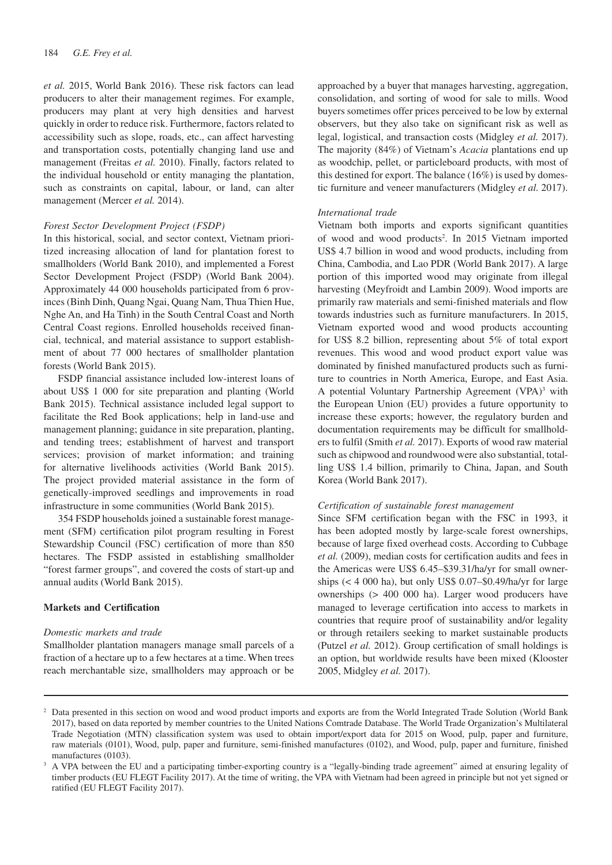*et al.* 2015, World Bank 2016). These risk factors can lead producers to alter their management regimes. For example, producers may plant at very high densities and harvest quickly in order to reduce risk. Furthermore, factors related to accessibility such as slope, roads, etc., can affect harvesting and transportation costs, potentially changing land use and management (Freitas *et al.* 2010). Finally, factors related to the individual household or entity managing the plantation, such as constraints on capital, labour, or land, can alter management (Mercer *et al.* 2014).

## *Forest Sector Development Project (FSDP)*

In this historical, social, and sector context, Vietnam prioritized increasing allocation of land for plantation forest to smallholders (World Bank 2010), and implemented a Forest Sector Development Project (FSDP) (World Bank 2004). Approximately 44 000 households participated from 6 provinces (Binh Dinh, Quang Ngai, Quang Nam, Thua Thien Hue, Nghe An, and Ha Tinh) in the South Central Coast and North Central Coast regions. Enrolled households received financial, technical, and material assistance to support establishment of about 77 000 hectares of smallholder plantation forests (World Bank 2015).

FSDP financial assistance included low-interest loans of about US\$ 1 000 for site preparation and planting (World Bank 2015). Technical assistance included legal support to facilitate the Red Book applications; help in land-use and management planning; guidance in site preparation, planting, and tending trees; establishment of harvest and transport services; provision of market information; and training for alternative livelihoods activities (World Bank 2015). The project provided material assistance in the form of genetically-improved seedlings and improvements in road infrastructure in some communities (World Bank 2015).

354 FSDP households joined a sustainable forest management (SFM) certification pilot program resulting in Forest Stewardship Council (FSC) certification of more than 850 hectares. The FSDP assisted in establishing smallholder "forest farmer groups", and covered the costs of start-up and annual audits (World Bank 2015).

# **Markets and Certification**

# *Domestic markets and trade*

Smallholder plantation managers manage small parcels of a fraction of a hectare up to a few hectares at a time. When trees reach merchantable size, smallholders may approach or be

approached by a buyer that manages harvesting, aggregation, consolidation, and sorting of wood for sale to mills. Wood buyers sometimes offer prices perceived to be low by external observers, but they also take on significant risk as well as legal, logistical, and transaction costs (Midgley *et al.* 2017). The majority (84%) of Vietnam's *Acacia* plantations end up as woodchip, pellet, or particleboard products, with most of this destined for export. The balance (16%) is used by domestic furniture and veneer manufacturers (Midgley *et al.* 2017).

# *International trade*

Vietnam both imports and exports significant quantities of wood and wood products<sup>2</sup>. In 2015 Vietnam imported US\$ 4.7 billion in wood and wood products, including from China, Cambodia, and Lao PDR (World Bank 2017). A large portion of this imported wood may originate from illegal harvesting (Meyfroidt and Lambin 2009). Wood imports are primarily raw materials and semi-finished materials and flow towards industries such as furniture manufacturers. In 2015, Vietnam exported wood and wood products accounting for US\$ 8.2 billion, representing about 5% of total export revenues. This wood and wood product export value was dominated by finished manufactured products such as furniture to countries in North America, Europe, and East Asia. A potential Voluntary Partnership Agreement (VPA)<sup>3</sup> with the European Union (EU) provides a future opportunity to increase these exports; however, the regulatory burden and documentation requirements may be difficult for smallholders to fulfil (Smith *et al.* 2017). Exports of wood raw material such as chipwood and roundwood were also substantial, totalling US\$ 1.4 billion, primarily to China, Japan, and South Korea (World Bank 2017).

## *Certification of sustainable forest management*

Since SFM certification began with the FSC in 1993, it has been adopted mostly by large-scale forest ownerships, because of large fixed overhead costs. According to Cubbage *et al.* (2009), median costs for certification audits and fees in the Americas were US\$ 6.45–\$39.31/ha/yr for small ownerships  $(< 4000$  ha), but only US\$ 0.07–\$0.49/ha/yr for large ownerships (> 400 000 ha). Larger wood producers have managed to leverage certification into access to markets in countries that require proof of sustainability and/or legality or through retailers seeking to market sustainable products (Putzel *et al.* 2012). Group certification of small holdings is an option, but worldwide results have been mixed (Klooster 2005, Midgley *et al.* 2017).

<sup>&</sup>lt;sup>2</sup> Data presented in this section on wood and wood product imports and exports are from the World Integrated Trade Solution (World Bank 2017), based on data reported by member countries to the United Nations Comtrade Database. The World Trade Organization's Multilateral Trade Negotiation (MTN) classification system was used to obtain import/export data for 2015 on Wood, pulp, paper and furniture, raw materials (0101), Wood, pulp, paper and furniture, semi-finished manufactures (0102), and Wood, pulp, paper and furniture, finished manufactures (0103).

<sup>&</sup>lt;sup>3</sup> A VPA between the EU and a participating timber-exporting country is a "legally-binding trade agreement" aimed at ensuring legality of timber products (EU FLEGT Facility 2017). At the time of writing, the VPA with Vietnam had been agreed in principle but not yet signed or ratified (EU FLEGT Facility 2017).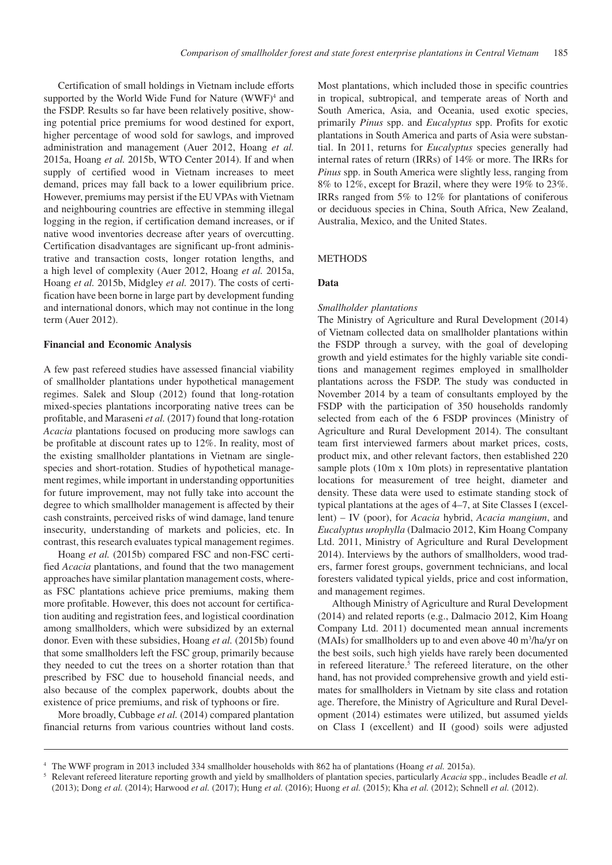Certification of small holdings in Vietnam include efforts supported by the World Wide Fund for Nature (WWF)<sup>4</sup> and the FSDP. Results so far have been relatively positive, showing potential price premiums for wood destined for export, higher percentage of wood sold for sawlogs, and improved administration and management (Auer 2012, Hoang *et al.*  2015a, Hoang *et al.* 2015b, WTO Center 2014). If and when supply of certified wood in Vietnam increases to meet demand, prices may fall back to a lower equilibrium price. However, premiums may persist if the EU VPAs with Vietnam and neighbouring countries are effective in stemming illegal logging in the region, if certification demand increases, or if native wood inventories decrease after years of overcutting. Certification disadvantages are significant up-front administrative and transaction costs, longer rotation lengths, and a high level of complexity (Auer 2012, Hoang *et al.* 2015a, Hoang *et al.* 2015b, Midgley *et al.* 2017). The costs of certification have been borne in large part by development funding and international donors, which may not continue in the long term (Auer 2012).

#### **Financial and Economic Analysis**

A few past refereed studies have assessed financial viability of smallholder plantations under hypothetical management regimes. Salek and Sloup (2012) found that long-rotation mixed-species plantations incorporating native trees can be profitable, and Maraseni *et al.* (2017) found that long-rotation *Acacia* plantations focused on producing more sawlogs can be profitable at discount rates up to 12%. In reality, most of the existing smallholder plantations in Vietnam are singlespecies and short-rotation. Studies of hypothetical management regimes, while important in understanding opportunities for future improvement, may not fully take into account the degree to which smallholder management is affected by their cash constraints, perceived risks of wind damage, land tenure insecurity, understanding of markets and policies, etc. In contrast, this research evaluates typical management regimes.

Hoang *et al.* (2015b) compared FSC and non-FSC certified *Acacia* plantations, and found that the two management approaches have similar plantation management costs, whereas FSC plantations achieve price premiums, making them more profitable. However, this does not account for certification auditing and registration fees, and logistical coordination among smallholders, which were subsidized by an external donor. Even with these subsidies, Hoang *et al.* (2015b) found that some smallholders left the FSC group, primarily because they needed to cut the trees on a shorter rotation than that prescribed by FSC due to household financial needs, and also because of the complex paperwork, doubts about the existence of price premiums, and risk of typhoons or fire.

More broadly, Cubbage *et al.* (2014) compared plantation financial returns from various countries without land costs.

Most plantations, which included those in specific countries in tropical, subtropical, and temperate areas of North and South America, Asia, and Oceania, used exotic species, primarily *Pinus* spp. and *Eucalyptus* spp. Profits for exotic plantations in South America and parts of Asia were substantial. In 2011, returns for *Eucalyptus* species generally had internal rates of return (IRRs) of 14% or more. The IRRs for *Pinus* spp. in South America were slightly less, ranging from 8% to 12%, except for Brazil, where they were 19% to 23%. IRRs ranged from 5% to 12% for plantations of coniferous or deciduous species in China, South Africa, New Zealand, Australia, Mexico, and the United States.

#### METHODS

# **Data**

# *Smallholder plantations*

The Ministry of Agriculture and Rural Development (2014) of Vietnam collected data on smallholder plantations within the FSDP through a survey, with the goal of developing growth and yield estimates for the highly variable site conditions and management regimes employed in smallholder plantations across the FSDP. The study was conducted in November 2014 by a team of consultants employed by the FSDP with the participation of 350 households randomly selected from each of the 6 FSDP provinces (Ministry of Agriculture and Rural Development 2014). The consultant team first interviewed farmers about market prices, costs, product mix, and other relevant factors, then established 220 sample plots (10m x 10m plots) in representative plantation locations for measurement of tree height, diameter and density. These data were used to estimate standing stock of typical plantations at the ages of 4–7, at Site Classes I (excellent) – IV (poor), for *Acacia* hybrid, *Acacia mangium*, and *Eucalyptus urophylla* (Dalmacio 2012, Kim Hoang Company Ltd. 2011, Ministry of Agriculture and Rural Development 2014). Interviews by the authors of smallholders, wood traders, farmer forest groups, government technicians, and local foresters validated typical yields, price and cost information, and management regimes.

Although Ministry of Agriculture and Rural Development (2014) and related reports (e.g., Dalmacio 2012, Kim Hoang Company Ltd. 2011) documented mean annual increments (MAIs) for smallholders up to and even above 40 m<sup>3</sup>/ha/yr on the best soils, such high yields have rarely been documented in refereed literature.<sup>5</sup> The refereed literature, on the other hand, has not provided comprehensive growth and yield estimates for smallholders in Vietnam by site class and rotation age. Therefore, the Ministry of Agriculture and Rural Development (2014) estimates were utilized, but assumed yields on Class I (excellent) and II (good) soils were adjusted

<sup>4</sup> The WWF program in 2013 included 334 smallholder households with 862 ha of plantations (Hoang *et al.* 2015a).

<sup>5</sup> Relevant refereed literature reporting growth and yield by smallholders of plantation species, particularly *Acacia* spp., includes Beadle *et al.* (2013); Dong *et al.* (2014); Harwood *et al.* (2017); Hung *et al.* (2016); Huong *et al.* (2015); Kha *et al.* (2012); Schnell *et al.* (2012).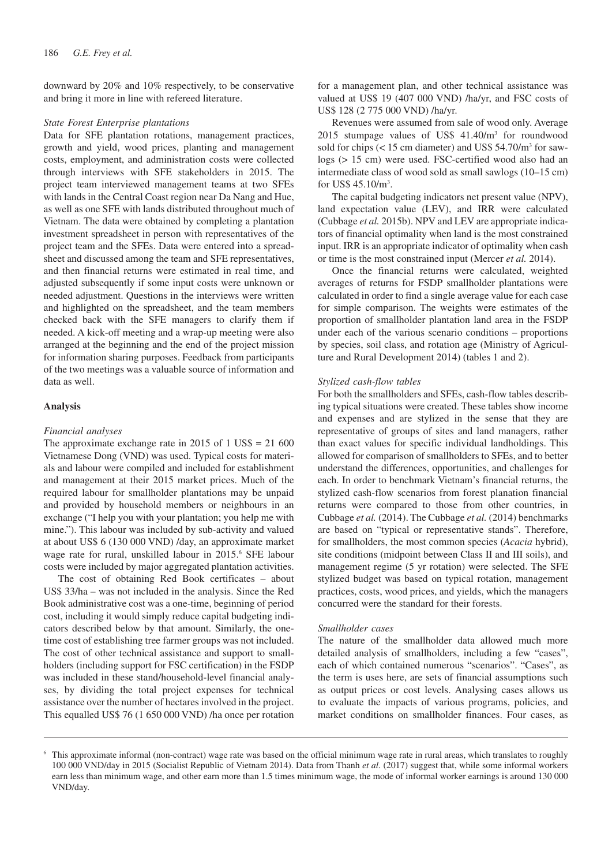downward by 20% and 10% respectively, to be conservative and bring it more in line with refereed literature.

#### *State Forest Enterprise plantations*

Data for SFE plantation rotations, management practices, growth and yield, wood prices, planting and management costs, employment, and administration costs were collected through interviews with SFE stakeholders in 2015. The project team interviewed management teams at two SFEs with lands in the Central Coast region near Da Nang and Hue, as well as one SFE with lands distributed throughout much of Vietnam. The data were obtained by completing a plantation investment spreadsheet in person with representatives of the project team and the SFEs. Data were entered into a spreadsheet and discussed among the team and SFE representatives, and then financial returns were estimated in real time, and adjusted subsequently if some input costs were unknown or needed adjustment. Questions in the interviews were written and highlighted on the spreadsheet, and the team members checked back with the SFE managers to clarify them if needed. A kick-off meeting and a wrap-up meeting were also arranged at the beginning and the end of the project mission for information sharing purposes. Feedback from participants of the two meetings was a valuable source of information and data as well.

#### **Analysis**

# *Financial analyses*

The approximate exchange rate in 2015 of 1 US\$ =  $21\,600$ Vietnamese Dong (VND) was used. Typical costs for materials and labour were compiled and included for establishment and management at their 2015 market prices. Much of the required labour for smallholder plantations may be unpaid and provided by household members or neighbours in an exchange ("I help you with your plantation; you help me with mine."). This labour was included by sub-activity and valued at about US\$ 6 (130 000 VND) /day, an approximate market wage rate for rural, unskilled labour in 2015.<sup>6</sup> SFE labour costs were included by major aggregated plantation activities.

The cost of obtaining Red Book certificates – about US\$ 33/ha – was not included in the analysis. Since the Red Book administrative cost was a one-time, beginning of period cost, including it would simply reduce capital budgeting indicators described below by that amount. Similarly, the onetime cost of establishing tree farmer groups was not included. The cost of other technical assistance and support to smallholders (including support for FSC certification) in the FSDP was included in these stand/household-level financial analyses, by dividing the total project expenses for technical assistance over the number of hectares involved in the project. This equalled US\$ 76 (1 650 000 VND) /ha once per rotation for a management plan, and other technical assistance was valued at US\$ 19 (407 000 VND) /ha/yr, and FSC costs of US\$ 128 (2 775 000 VND) /ha/yr.

Revenues were assumed from sale of wood only. Average 2015 stumpage values of US\$ 41.40/m3 for roundwood sold for chips  $(< 15$  cm diameter) and US\$ 54.70/m<sup>3</sup> for sawlogs (> 15 cm) were used. FSC-certified wood also had an intermediate class of wood sold as small sawlogs (10–15 cm) for US\$ 45.10/m<sup>3</sup>.

The capital budgeting indicators net present value (NPV), land expectation value (LEV), and IRR were calculated (Cubbage *et al.* 2015b). NPV and LEV are appropriate indicators of financial optimality when land is the most constrained input. IRR is an appropriate indicator of optimality when cash or time is the most constrained input (Mercer *et al.* 2014).

Once the financial returns were calculated, weighted averages of returns for FSDP smallholder plantations were calculated in order to find a single average value for each case for simple comparison. The weights were estimates of the proportion of smallholder plantation land area in the FSDP under each of the various scenario conditions – proportions by species, soil class, and rotation age (Ministry of Agriculture and Rural Development 2014) (tables 1 and 2).

#### *Stylized cash-flow tables*

For both the smallholders and SFEs, cash-flow tables describing typical situations were created. These tables show income and expenses and are stylized in the sense that they are representative of groups of sites and land managers, rather than exact values for specific individual landholdings. This allowed for comparison of smallholders to SFEs, and to better understand the differences, opportunities, and challenges for each. In order to benchmark Vietnam's financial returns, the stylized cash-flow scenarios from forest planation financial returns were compared to those from other countries, in Cubbage *et al.* (2014). The Cubbage *et al.* (2014) benchmarks are based on "typical or representative stands". Therefore, for smallholders, the most common species (*Acacia* hybrid), site conditions (midpoint between Class II and III soils), and management regime (5 yr rotation) were selected. The SFE stylized budget was based on typical rotation, management practices, costs, wood prices, and yields, which the managers concurred were the standard for their forests.

# *Smallholder cases*

The nature of the smallholder data allowed much more detailed analysis of smallholders, including a few "cases", each of which contained numerous "scenarios". "Cases", as the term is uses here, are sets of financial assumptions such as output prices or cost levels. Analysing cases allows us to evaluate the impacts of various programs, policies, and market conditions on smallholder finances. Four cases, as

<sup>6</sup> This approximate informal (non-contract) wage rate was based on the official minimum wage rate in rural areas, which translates to roughly 100 000 VND/day in 2015 (Socialist Republic of Vietnam 2014). Data from Thanh *et al*. (2017) suggest that, while some informal workers earn less than minimum wage, and other earn more than 1.5 times minimum wage, the mode of informal worker earnings is around 130 000 VND/day.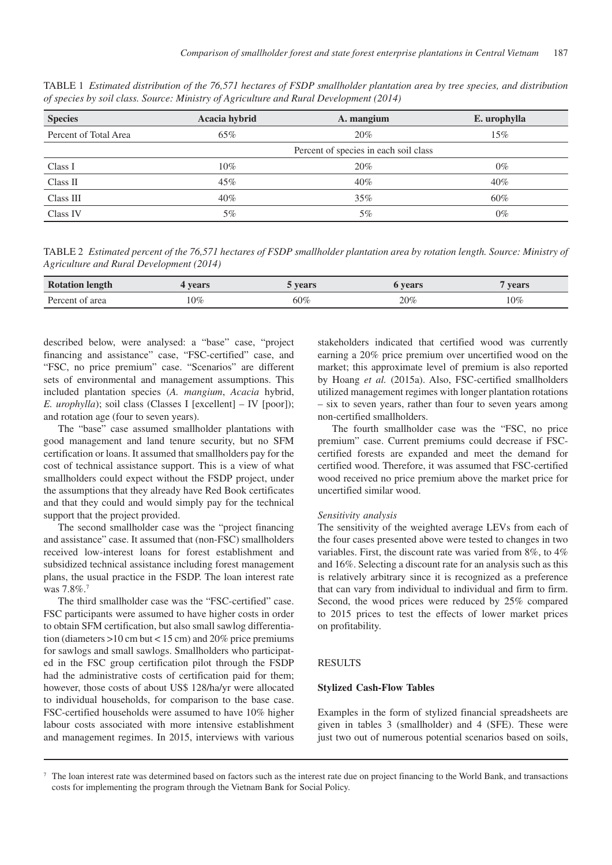| <b>Species</b>        | Acacia hybrid | A. mangium                            | E. urophylla |
|-----------------------|---------------|---------------------------------------|--------------|
| Percent of Total Area | 65%           | 20%                                   | 15%          |
|                       |               | Percent of species in each soil class |              |
| Class I               | $10\%$        | 20%                                   | $0\%$        |
| Class II              | 45%           | 40%                                   | $40\%$       |
| Class III             | $40\%$        | 35%                                   | 60%          |
| <b>Class IV</b>       | $5\%$         | 5%                                    | $0\%$        |

TABLE 1 *Estimated distribution of the 76,571 hectares of FSDP smallholder plantation area by tree species, and distribution of species by soil class. Source: Ministry of Agriculture and Rural Development (2014)*

TABLE 2 *Estimated percent of the 76,571 hectares of FSDP smallholder plantation area by rotation length. Source: Ministry of Agriculture and Rural Development (2014)*

| <b>Rotation length</b>   | vears  | vears | <b>100 MC</b><br>Jai 5 | vears  |
|--------------------------|--------|-------|------------------------|--------|
| $p_{error}$<br>area<br>. | $10\%$ | 50%   | $20\%$                 | $10\%$ |

described below, were analysed: a "base" case, "project financing and assistance" case, "FSC-certified" case, and "FSC, no price premium" case. "Scenarios" are different sets of environmental and management assumptions. This included plantation species (*A. mangium*, *Acacia* hybrid, *E. urophylla*); soil class (Classes I [excellent] – IV [poor]); and rotation age (four to seven years).

The "base" case assumed smallholder plantations with good management and land tenure security, but no SFM certification or loans. It assumed that smallholders pay for the cost of technical assistance support. This is a view of what smallholders could expect without the FSDP project, under the assumptions that they already have Red Book certificates and that they could and would simply pay for the technical support that the project provided.

The second smallholder case was the "project financing and assistance" case. It assumed that (non-FSC) smallholders received low-interest loans for forest establishment and subsidized technical assistance including forest management plans, the usual practice in the FSDP. The loan interest rate was 7.8%.<sup>7</sup>

The third smallholder case was the "FSC-certified" case. FSC participants were assumed to have higher costs in order to obtain SFM certification, but also small sawlog differentiation (diameters  $>10$  cm but < 15 cm) and 20% price premiums for sawlogs and small sawlogs. Smallholders who participated in the FSC group certification pilot through the FSDP had the administrative costs of certification paid for them; however, those costs of about US\$ 128/ha/yr were allocated to individual households, for comparison to the base case. FSC-certified households were assumed to have 10% higher labour costs associated with more intensive establishment and management regimes. In 2015, interviews with various

stakeholders indicated that certified wood was currently earning a 20% price premium over uncertified wood on the market; this approximate level of premium is also reported by Hoang *et al.* (2015a). Also, FSC-certified smallholders utilized management regimes with longer plantation rotations – six to seven years, rather than four to seven years among non-certified smallholders.

The fourth smallholder case was the "FSC, no price premium" case. Current premiums could decrease if FSCcertified forests are expanded and meet the demand for certified wood. Therefore, it was assumed that FSC-certified wood received no price premium above the market price for uncertified similar wood.

#### *Sensitivity analysis*

The sensitivity of the weighted average LEVs from each of the four cases presented above were tested to changes in two variables. First, the discount rate was varied from 8%, to 4% and 16%. Selecting a discount rate for an analysis such as this is relatively arbitrary since it is recognized as a preference that can vary from individual to individual and firm to firm. Second, the wood prices were reduced by 25% compared to 2015 prices to test the effects of lower market prices on profitability.

#### RESULTS

#### **Stylized Cash-Flow Tables**

Examples in the form of stylized financial spreadsheets are given in tables 3 (smallholder) and 4 (SFE). These were just two out of numerous potential scenarios based on soils,

 $^7$  The loan interest rate was determined based on factors such as the interest rate due on project financing to the World Bank, and transactions costs for implementing the program through the Vietnam Bank for Social Policy.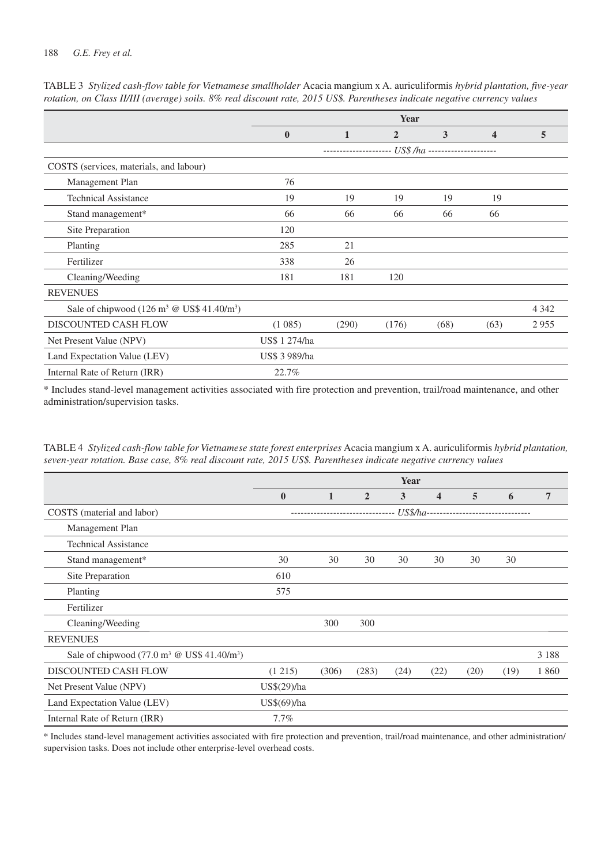|                                                                       |                  |       | Year         |      |                         |         |
|-----------------------------------------------------------------------|------------------|-------|--------------|------|-------------------------|---------|
|                                                                       | $\boldsymbol{0}$ | 1     | $\mathbf{2}$ | 3    | $\overline{\mathbf{4}}$ | 5       |
|                                                                       |                  |       |              |      |                         |         |
| COSTS (services, materials, and labour)                               |                  |       |              |      |                         |         |
| Management Plan                                                       | 76               |       |              |      |                         |         |
| <b>Technical Assistance</b>                                           | 19               | 19    | 19           | 19   | 19                      |         |
| Stand management*                                                     | 66               | 66    | 66           | 66   | 66                      |         |
| Site Preparation                                                      | 120              |       |              |      |                         |         |
| Planting                                                              | 285              | 21    |              |      |                         |         |
| Fertilizer                                                            | 338              | 26    |              |      |                         |         |
| Cleaning/Weeding                                                      | 181              | 181   | 120          |      |                         |         |
| <b>REVENUES</b>                                                       |                  |       |              |      |                         |         |
| Sale of chipwood $(126 \text{ m}^3 \text{ @ } US\$ 41.40/\text{m}^3)$ |                  |       |              |      |                         | 4 3 4 2 |
| DISCOUNTED CASH FLOW                                                  | (1085)           | (290) | (176)        | (68) | (63)                    | 2955    |
| Net Present Value (NPV)                                               | US\$ 1 274/ha    |       |              |      |                         |         |
| Land Expectation Value (LEV)                                          | US\$ 3 989/ha    |       |              |      |                         |         |
| Internal Rate of Return (IRR)                                         | 22.7%            |       |              |      |                         |         |

TABLE 3 *Stylized cash-flow table for Vietnamese smallholder* Acacia mangium x A. auriculiformis *hybrid plantation, five-year rotation, on Class II/III (average) soils. 8% real discount rate, 2015 US\$. Parentheses indicate negative currency values*

\* Includes stand-level management activities associated with fire protection and prevention, trail/road maintenance, and other administration/supervision tasks.

TABLE 4 *Stylized cash-flow table for Vietnamese state forest enterprises* Acacia mangium x A. auriculiformis *hybrid plantation, seven-year rotation. Base case, 8% real discount rate, 2015 US\$. Parentheses indicate negative currency values*

|                                                                            | Year                               |       |                |      |                         |      |      |                |
|----------------------------------------------------------------------------|------------------------------------|-------|----------------|------|-------------------------|------|------|----------------|
|                                                                            | $\bf{0}$                           | 1     | $\overline{2}$ | 3    | $\overline{\mathbf{4}}$ | 5    | 6    | $\overline{7}$ |
| COSTS (material and labor)                                                 | US\$/ha--------------------------- |       |                |      |                         |      |      |                |
| Management Plan                                                            |                                    |       |                |      |                         |      |      |                |
| <b>Technical Assistance</b>                                                |                                    |       |                |      |                         |      |      |                |
| Stand management*                                                          | 30                                 | 30    | 30             | 30   | 30                      | 30   | 30   |                |
| Site Preparation                                                           | 610                                |       |                |      |                         |      |      |                |
| Planting                                                                   | 575                                |       |                |      |                         |      |      |                |
| Fertilizer                                                                 |                                    |       |                |      |                         |      |      |                |
| Cleaning/Weeding                                                           |                                    | 300   | 300            |      |                         |      |      |                |
| <b>REVENUES</b>                                                            |                                    |       |                |      |                         |      |      |                |
| Sale of chipwood $(77.0 \text{ m}^3 \otimes \text{USS } 41.40/\text{m}^3)$ |                                    |       |                |      |                         |      |      | 3 1 8 8        |
| DISCOUNTED CASH FLOW                                                       | (1215)                             | (306) | (283)          | (24) | (22)                    | (20) | (19) | 1860           |
| Net Present Value (NPV)                                                    | $US\$(29)$ /ha                     |       |                |      |                         |      |      |                |
| Land Expectation Value (LEV)                                               | $US\$(69)/ha$                      |       |                |      |                         |      |      |                |
| Internal Rate of Return (IRR)                                              | 7.7%                               |       |                |      |                         |      |      |                |

\* Includes stand-level management activities associated with fire protection and prevention, trail/road maintenance, and other administration/ supervision tasks. Does not include other enterprise-level overhead costs.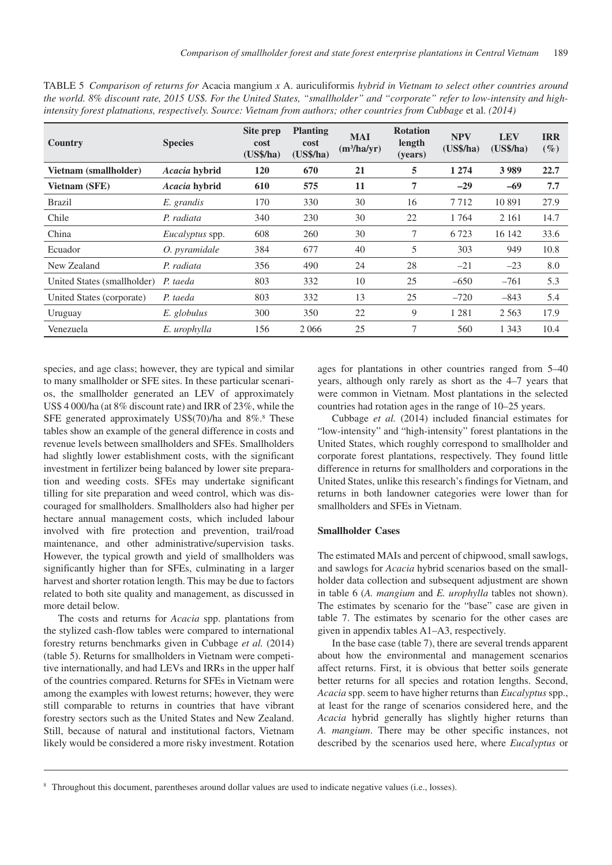TABLE 5 *Comparison of returns for* Acacia mangium *x* A. auriculiformis *hybrid in Vietnam to select other countries around the world. 8% discount rate, 2015 US\$. For the United States, "smallholder" and "corporate" refer to low-intensity and highintensity forest platnations, respectively. Source: Vietnam from authors; other countries from Cubbage* et al. *(2014)*

| Country                     | <b>Species</b>         | Site prep<br>cost<br>(US\$/ha) | <b>Planting</b><br>cost<br>(US\$/ha) | <b>MAI</b><br>$(m^3/ha/yr)$ | <b>Rotation</b><br>length<br>(years) | <b>NPV</b><br>(US\$/ha) | <b>LEV</b><br>(US\$/ha) | <b>IRR</b><br>$(\%)$ |
|-----------------------------|------------------------|--------------------------------|--------------------------------------|-----------------------------|--------------------------------------|-------------------------|-------------------------|----------------------|
| Vietnam (smallholder)       | Acacia hybrid          | 120                            | 670                                  | 21                          | 5                                    | 1 2 7 4                 | 3989                    | 22.7                 |
| <b>Vietnam (SFE)</b>        | Acacia hybrid          | 610                            | 575                                  | 11                          | 7                                    | $-29$                   | $-69$                   | 7.7                  |
| <b>Brazil</b>               | E. grandis             | 170                            | 330                                  | 30                          | 16                                   | 7712                    | 10891                   | 27.9                 |
| Chile                       | P. radiata             | 340                            | 230                                  | 30                          | 22                                   | 1764                    | 2 1 6 1                 | 14.7                 |
| China                       | <i>Eucalyptus</i> spp. | 608                            | 260                                  | 30                          | 7                                    | 6 7 2 3                 | 16 142                  | 33.6                 |
| Ecuador                     | O. pyramidale          | 384                            | 677                                  | 40                          | 5                                    | 303                     | 949                     | 10.8                 |
| New Zealand                 | P. radiata             | 356                            | 490                                  | 24                          | 28                                   | $-21$                   | $-23$                   | 8.0                  |
| United States (smallholder) | P. taeda               | 803                            | 332                                  | 10                          | 25                                   | $-650$                  | $-761$                  | 5.3                  |
| United States (corporate)   | P. taeda               | 803                            | 332                                  | 13                          | 25                                   | $-720$                  | $-843$                  | 5.4                  |
| Uruguay                     | E. globulus            | 300                            | 350                                  | 22                          | 9                                    | 1 2 8 1                 | 2 5 6 3                 | 17.9                 |
| Venezuela                   | E. urophylla           | 156                            | 2 0 6 6                              | 25                          | 7                                    | 560                     | 1 3 4 3                 | 10.4                 |

species, and age class; however, they are typical and similar to many smallholder or SFE sites. In these particular scenarios, the smallholder generated an LEV of approximately US\$ 4 000/ha (at 8% discount rate) and IRR of 23%, while the SFE generated approximately US\$(70)/ha and 8%.<sup>8</sup> These tables show an example of the general difference in costs and revenue levels between smallholders and SFEs. Smallholders had slightly lower establishment costs, with the significant investment in fertilizer being balanced by lower site preparation and weeding costs. SFEs may undertake significant tilling for site preparation and weed control, which was discouraged for smallholders. Smallholders also had higher per hectare annual management costs, which included labour involved with fire protection and prevention, trail/road maintenance, and other administrative/supervision tasks. However, the typical growth and yield of smallholders was significantly higher than for SFEs, culminating in a larger harvest and shorter rotation length. This may be due to factors related to both site quality and management, as discussed in more detail below.

The costs and returns for *Acacia* spp. plantations from the stylized cash-flow tables were compared to international forestry returns benchmarks given in Cubbage *et al.* (2014) (table 5). Returns for smallholders in Vietnam were competitive internationally, and had LEVs and IRRs in the upper half of the countries compared. Returns for SFEs in Vietnam were among the examples with lowest returns; however, they were still comparable to returns in countries that have vibrant forestry sectors such as the United States and New Zealand. Still, because of natural and institutional factors, Vietnam likely would be considered a more risky investment. Rotation ages for plantations in other countries ranged from 5–40 years, although only rarely as short as the 4–7 years that were common in Vietnam. Most plantations in the selected countries had rotation ages in the range of 10–25 years.

Cubbage *et al.* (2014) included financial estimates for "low-intensity" and "high-intensity" forest plantations in the United States, which roughly correspond to smallholder and corporate forest plantations, respectively. They found little difference in returns for smallholders and corporations in the United States, unlike this research's findings for Vietnam, and returns in both landowner categories were lower than for smallholders and SFEs in Vietnam.

# **Smallholder Cases**

The estimated MAIs and percent of chipwood, small sawlogs, and sawlogs for *Acacia* hybrid scenarios based on the smallholder data collection and subsequent adjustment are shown in table 6 (*A. mangium* and *E. urophylla* tables not shown). The estimates by scenario for the "base" case are given in table 7. The estimates by scenario for the other cases are given in appendix tables A1–A3, respectively.

In the base case (table 7), there are several trends apparent about how the environmental and management scenarios affect returns. First, it is obvious that better soils generate better returns for all species and rotation lengths. Second, *Acacia* spp. seem to have higher returns than *Eucalyptus* spp., at least for the range of scenarios considered here, and the *Acacia* hybrid generally has slightly higher returns than *A. mangium*. There may be other specific instances, not described by the scenarios used here, where *Eucalyptus* or

<sup>8</sup> Throughout this document, parentheses around dollar values are used to indicate negative values (i.e., losses).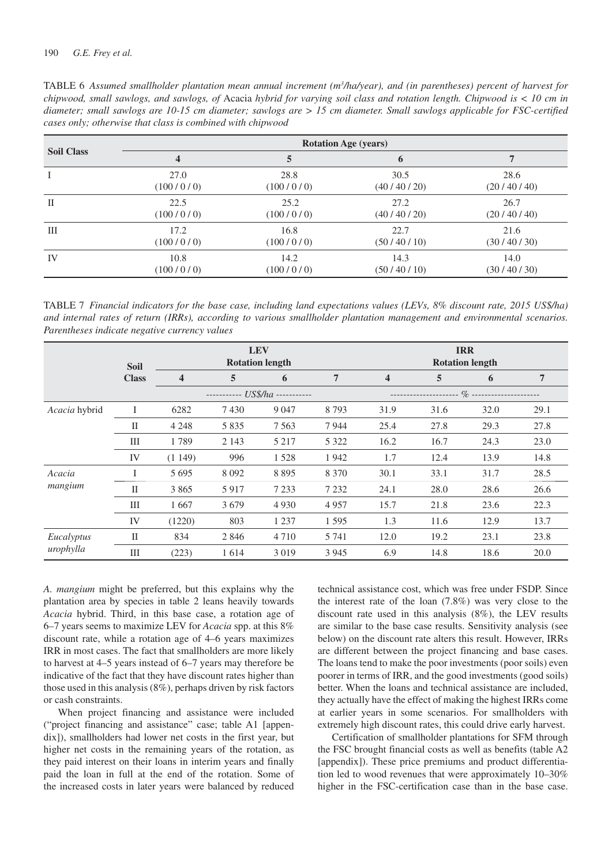TABLE 6 Assumed smallholder plantation mean annual increment (m<sup>3</sup>/ha/year), and (in parentheses) percent of harvest for *chipwood, small sawlogs, and sawlogs, of* Acacia *hybrid for varying soil class and rotation length. Chipwood is < 10 cm in diameter; small sawlogs are 10-15 cm diameter; sawlogs are > 15 cm diameter. Small sawlogs applicable for FSC-certified cases only; otherwise that class is combined with chipwood*

| <b>Soil Class</b> | <b>Rotation Age (years)</b> |           |            |                |  |  |  |  |
|-------------------|-----------------------------|-----------|------------|----------------|--|--|--|--|
|                   | 4                           | 5         | 6          | $\overline{7}$ |  |  |  |  |
|                   | 27.0                        | 28.8      | 30.5       | 28.6           |  |  |  |  |
|                   | (100/0/0)                   | (100/0/0) | (40/40/20) | (20/40/40)     |  |  |  |  |
| $\mathbf{I}$      | 22.5                        | 25.2      | 27.2       | 26.7           |  |  |  |  |
|                   | (100/0/0)                   | (100/0/0) | (40/40/20) | (20/40/40)     |  |  |  |  |
| Ш                 | 17.2                        | 16.8      | 22.7       | 21.6           |  |  |  |  |
|                   | (100/0/0)                   | (100/0/0) | (50/40/10) | (30/40/30)     |  |  |  |  |
| IV                | 10.8                        | 14.2      | 14.3       | 14.0           |  |  |  |  |
|                   | (100/0/0)                   | (100/0/0) | (50/40/10) | (30/40/30)     |  |  |  |  |

TABLE 7 *Financial indicators for the base case, including land expectations values (LEVs, 8% discount rate, 2015 US\$/ha) and internal rates of return (IRRs), according to various smallholder plantation management and environmental scenarios. Parentheses indicate negative currency values*

|               | <b>Soil</b>  |                         | <b>LEV</b><br><b>Rotation length</b> |                      |                | <b>IRR</b><br><b>Rotation length</b> |      |        |      |
|---------------|--------------|-------------------------|--------------------------------------|----------------------|----------------|--------------------------------------|------|--------|------|
|               | <b>Class</b> | $\overline{\mathbf{4}}$ | 5                                    | 6                    | $\overline{7}$ | 4                                    | 5    | 6      | 7    |
|               |              |                         |                                      | $US$/ha$ ----------- |                |                                      |      | $\%$ - |      |
| Acacia hybrid | I            | 6282                    | 7430                                 | 9 0 4 7              | 8793           | 31.9                                 | 31.6 | 32.0   | 29.1 |
|               | $\mathbf{I}$ | 4 2 4 8                 | 5835                                 | 7 5 6 3              | 7944           | 25.4                                 | 27.8 | 29.3   | 27.8 |
|               | III          | 1789                    | 2 1 4 3                              | 5 2 1 7              | 5 3 2 2        | 16.2                                 | 16.7 | 24.3   | 23.0 |
|               | IV           | (1149)                  | 996                                  | 1528                 | 1942           | 1.7                                  | 12.4 | 13.9   | 14.8 |
| Acacia        |              | 5695                    | 8 0 9 2                              | 8895                 | 8 3 7 0        | 30.1                                 | 33.1 | 31.7   | 28.5 |
| mangium       | $\mathbf{I}$ | 3865                    | 5917                                 | 7 2 3 3              | 7 2 3 2        | 24.1                                 | 28.0 | 28.6   | 26.6 |
|               | Ш            | 1667                    | 3679                                 | 4 9 3 0              | 4957           | 15.7                                 | 21.8 | 23.6   | 22.3 |
|               | IV           | (1220)                  | 803                                  | 1 2 3 7              | 1 5 9 5        | 1.3                                  | 11.6 | 12.9   | 13.7 |
| Eucalyptus    | $\mathbf{I}$ | 834                     | 2846                                 | 4 7 1 0              | 5 7 4 1        | 12.0                                 | 19.2 | 23.1   | 23.8 |
| urophylla     | Ш            | (223)                   | 1614                                 | 3 0 1 9              | 3 9 4 5        | 6.9                                  | 14.8 | 18.6   | 20.0 |

*A. mangium* might be preferred, but this explains why the plantation area by species in table 2 leans heavily towards *Acacia* hybrid. Third, in this base case, a rotation age of 6–7 years seems to maximize LEV for *Acacia* spp. at this 8% discount rate, while a rotation age of 4–6 years maximizes IRR in most cases. The fact that smallholders are more likely to harvest at 4–5 years instead of 6–7 years may therefore be indicative of the fact that they have discount rates higher than those used in this analysis (8%), perhaps driven by risk factors or cash constraints.

When project financing and assistance were included ("project financing and assistance" case; table A1 [appendix]), smallholders had lower net costs in the first year, but higher net costs in the remaining years of the rotation, as they paid interest on their loans in interim years and finally paid the loan in full at the end of the rotation. Some of the increased costs in later years were balanced by reduced

technical assistance cost, which was free under FSDP. Since the interest rate of the loan (7.8%) was very close to the discount rate used in this analysis (8%), the LEV results are similar to the base case results. Sensitivity analysis (see below) on the discount rate alters this result. However, IRRs are different between the project financing and base cases. The loans tend to make the poor investments (poor soils) even poorer in terms of IRR, and the good investments (good soils) better. When the loans and technical assistance are included, they actually have the effect of making the highest IRRs come at earlier years in some scenarios. For smallholders with extremely high discount rates, this could drive early harvest.

Certification of smallholder plantations for SFM through the FSC brought financial costs as well as benefits (table A2 [appendix]). These price premiums and product differentiation led to wood revenues that were approximately 10–30% higher in the FSC-certification case than in the base case.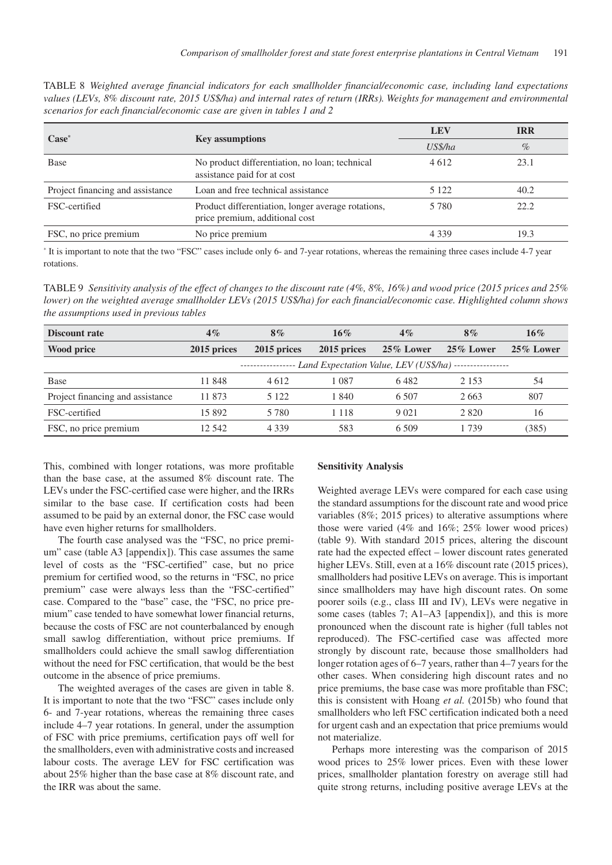TABLE 8 *Weighted average financial indicators for each smallholder financial/economic case, including land expectations values (LEVs, 8% discount rate, 2015 US\$/ha) and internal rates of return (IRRs). Weights for management and environmental scenarios for each financial/economic case are given in tables 1 and 2*

| $Case*$                          |                                                                                      | <b>LEV</b> | <b>IRR</b> |
|----------------------------------|--------------------------------------------------------------------------------------|------------|------------|
|                                  | <b>Key assumptions</b>                                                               | US\$/ha    | $\%$       |
| <b>Base</b>                      | No product differentiation, no loan; technical<br>assistance paid for at cost        | 4612       | 23.1       |
| Project financing and assistance | Loan and free technical assistance                                                   | 5 1 2 2    | 40.2       |
| FSC-certified                    | Product differentiation, longer average rotations,<br>price premium, additional cost | 5 7 8 0    | 22.2       |
| FSC, no price premium            | No price premium                                                                     | 4 3 3 9    | 19.3       |

\* It is important to note that the two "FSC" cases include only 6- and 7-year rotations, whereas the remaining three cases include 4-7 year rotations.

TABLE 9 *Sensitivity analysis of the effect of changes to the discount rate (4%, 8%, 16%) and wood price (2015 prices and 25% lower) on the weighted average smallholder LEVs (2015 US\$/ha) for each financial/economic case. Highlighted column shows the assumptions used in previous tables*

| <b>Discount rate</b>             | $4\%$                                                                   | $8\%$       | 16%         | $4\%$        | 8%           | 16%          |  |
|----------------------------------|-------------------------------------------------------------------------|-------------|-------------|--------------|--------------|--------------|--|
| <b>Wood price</b>                | 2015 prices                                                             | 2015 prices | 2015 prices | $25\%$ Lower | $25\%$ Lower | $25\%$ Lower |  |
|                                  | Land Expectation Value, LEV (US\$/ha) -----------------<br>------------ |             |             |              |              |              |  |
| Base                             | 11848                                                                   | 4612        | 1 0 8 7     | 6482         | 2 1 5 3      | 54           |  |
| Project financing and assistance | 11 873                                                                  | 5 1 2 2     | 1 840       | 6.507        | 2663         | 807          |  |
| FSC-certified                    | 15 892                                                                  | 5 7 8 0     | 1 1 1 8     | 9 0 2 1      | 2 8 2 0      | 16           |  |
| FSC, no price premium            | 12.542                                                                  | 4 3 3 9     | 583         | 6.509        | 739          | (385)        |  |

This, combined with longer rotations, was more profitable than the base case, at the assumed 8% discount rate. The LEVs under the FSC-certified case were higher, and the IRRs similar to the base case. If certification costs had been assumed to be paid by an external donor, the FSC case would have even higher returns for smallholders.

The fourth case analysed was the "FSC, no price premium" case (table A3 [appendix]). This case assumes the same level of costs as the "FSC-certified" case, but no price premium for certified wood, so the returns in "FSC, no price premium" case were always less than the "FSC-certified" case. Compared to the "base" case, the "FSC, no price premium" case tended to have somewhat lower financial returns, because the costs of FSC are not counterbalanced by enough small sawlog differentiation, without price premiums. If smallholders could achieve the small sawlog differentiation without the need for FSC certification, that would be the best outcome in the absence of price premiums.

The weighted averages of the cases are given in table 8. It is important to note that the two "FSC" cases include only 6- and 7-year rotations, whereas the remaining three cases include 4–7 year rotations. In general, under the assumption of FSC with price premiums, certification pays off well for the smallholders, even with administrative costs and increased labour costs. The average LEV for FSC certification was about 25% higher than the base case at 8% discount rate, and the IRR was about the same.

#### **Sensitivity Analysis**

Weighted average LEVs were compared for each case using the standard assumptions for the discount rate and wood price variables (8%; 2015 prices) to alterative assumptions where those were varied (4% and 16%; 25% lower wood prices) (table 9). With standard 2015 prices, altering the discount rate had the expected effect – lower discount rates generated higher LEVs. Still, even at a 16% discount rate (2015 prices), smallholders had positive LEVs on average. This is important since smallholders may have high discount rates. On some poorer soils (e.g., class III and IV), LEVs were negative in some cases (tables 7; A1–A3 [appendix]), and this is more pronounced when the discount rate is higher (full tables not reproduced). The FSC-certified case was affected more strongly by discount rate, because those smallholders had longer rotation ages of 6–7 years, rather than 4–7 years for the other cases. When considering high discount rates and no price premiums, the base case was more profitable than FSC; this is consistent with Hoang *et al.* (2015b) who found that smallholders who left FSC certification indicated both a need for urgent cash and an expectation that price premiums would not materialize.

Perhaps more interesting was the comparison of 2015 wood prices to 25% lower prices. Even with these lower prices, smallholder plantation forestry on average still had quite strong returns, including positive average LEVs at the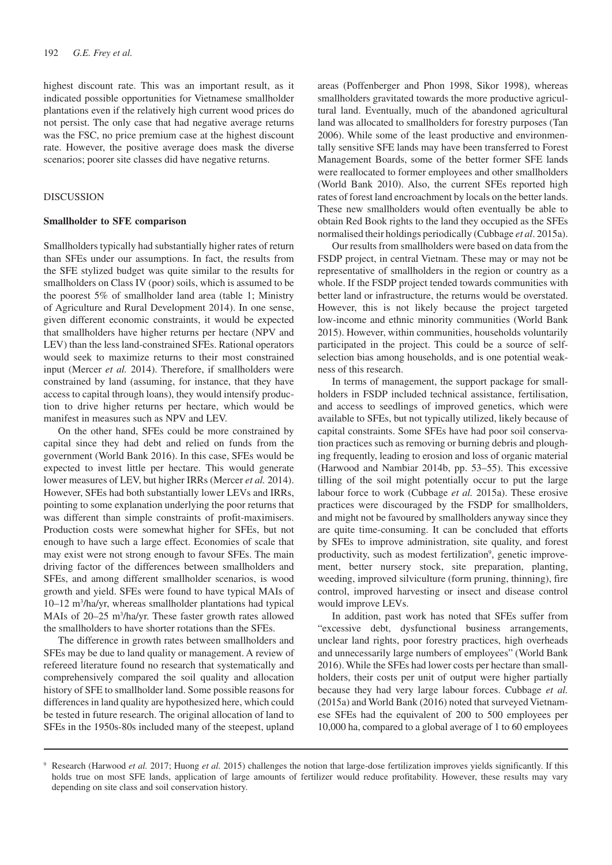highest discount rate. This was an important result, as it indicated possible opportunities for Vietnamese smallholder plantations even if the relatively high current wood prices do not persist. The only case that had negative average returns was the FSC, no price premium case at the highest discount rate. However, the positive average does mask the diverse scenarios; poorer site classes did have negative returns.

# DISCUSSION

# **Smallholder to SFE comparison**

Smallholders typically had substantially higher rates of return than SFEs under our assumptions. In fact, the results from the SFE stylized budget was quite similar to the results for smallholders on Class IV (poor) soils, which is assumed to be the poorest 5% of smallholder land area (table 1; Ministry of Agriculture and Rural Development 2014). In one sense, given different economic constraints, it would be expected that smallholders have higher returns per hectare (NPV and LEV) than the less land-constrained SFEs. Rational operators would seek to maximize returns to their most constrained input (Mercer *et al.* 2014). Therefore, if smallholders were constrained by land (assuming, for instance, that they have access to capital through loans), they would intensify production to drive higher returns per hectare, which would be manifest in measures such as NPV and LEV.

On the other hand, SFEs could be more constrained by capital since they had debt and relied on funds from the government (World Bank 2016). In this case, SFEs would be expected to invest little per hectare. This would generate lower measures of LEV, but higher IRRs (Mercer *et al.* 2014). However, SFEs had both substantially lower LEVs and IRRs, pointing to some explanation underlying the poor returns that was different than simple constraints of profit-maximisers. Production costs were somewhat higher for SFEs, but not enough to have such a large effect. Economies of scale that may exist were not strong enough to favour SFEs. The main driving factor of the differences between smallholders and SFEs, and among different smallholder scenarios, is wood growth and yield. SFEs were found to have typical MAIs of 10–12 m3 /ha/yr, whereas smallholder plantations had typical MAIs of 20–25 m<sup>3</sup>/ha/yr. These faster growth rates allowed the smallholders to have shorter rotations than the SFEs.

The difference in growth rates between smallholders and SFEs may be due to land quality or management. A review of refereed literature found no research that systematically and comprehensively compared the soil quality and allocation history of SFE to smallholder land. Some possible reasons for differences in land quality are hypothesized here, which could be tested in future research. The original allocation of land to SFEs in the 1950s-80s included many of the steepest, upland

areas (Poffenberger and Phon 1998, Sikor 1998), whereas smallholders gravitated towards the more productive agricultural land. Eventually, much of the abandoned agricultural land was allocated to smallholders for forestry purposes (Tan 2006). While some of the least productive and environmentally sensitive SFE lands may have been transferred to Forest Management Boards, some of the better former SFE lands were reallocated to former employees and other smallholders (World Bank 2010). Also, the current SFEs reported high rates of forest land encroachment by locals on the better lands. These new smallholders would often eventually be able to obtain Red Book rights to the land they occupied as the SFEs normalised their holdings periodically (Cubbage *et al*. 2015a).

Our results from smallholders were based on data from the FSDP project, in central Vietnam. These may or may not be representative of smallholders in the region or country as a whole. If the FSDP project tended towards communities with better land or infrastructure, the returns would be overstated. However, this is not likely because the project targeted low-income and ethnic minority communities (World Bank 2015). However, within communities, households voluntarily participated in the project. This could be a source of selfselection bias among households, and is one potential weakness of this research.

In terms of management, the support package for smallholders in FSDP included technical assistance, fertilisation, and access to seedlings of improved genetics, which were available to SFEs, but not typically utilized, likely because of capital constraints. Some SFEs have had poor soil conservation practices such as removing or burning debris and ploughing frequently, leading to erosion and loss of organic material (Harwood and Nambiar 2014b, pp. 53–55). This excessive tilling of the soil might potentially occur to put the large labour force to work (Cubbage *et al.* 2015a). These erosive practices were discouraged by the FSDP for smallholders, and might not be favoured by smallholders anyway since they are quite time-consuming. It can be concluded that efforts by SFEs to improve administration, site quality, and forest productivity, such as modest fertilization<sup>9</sup>, genetic improvement, better nursery stock, site preparation, planting, weeding, improved silviculture (form pruning, thinning), fire control, improved harvesting or insect and disease control would improve LEVs.

In addition, past work has noted that SFEs suffer from "excessive debt, dysfunctional business arrangements, unclear land rights, poor forestry practices, high overheads and unnecessarily large numbers of employees" (World Bank 2016). While the SFEs had lower costs per hectare than smallholders, their costs per unit of output were higher partially because they had very large labour forces. Cubbage *et al.* (2015a) and World Bank (2016) noted that surveyed Vietnamese SFEs had the equivalent of 200 to 500 employees per 10,000 ha, compared to a global average of 1 to 60 employees

<sup>9</sup> Research (Harwood *et al.* 2017; Huong *et al.* 2015) challenges the notion that large-dose fertilization improves yields significantly. If this holds true on most SFE lands, application of large amounts of fertilizer would reduce profitability. However, these results may vary depending on site class and soil conservation history.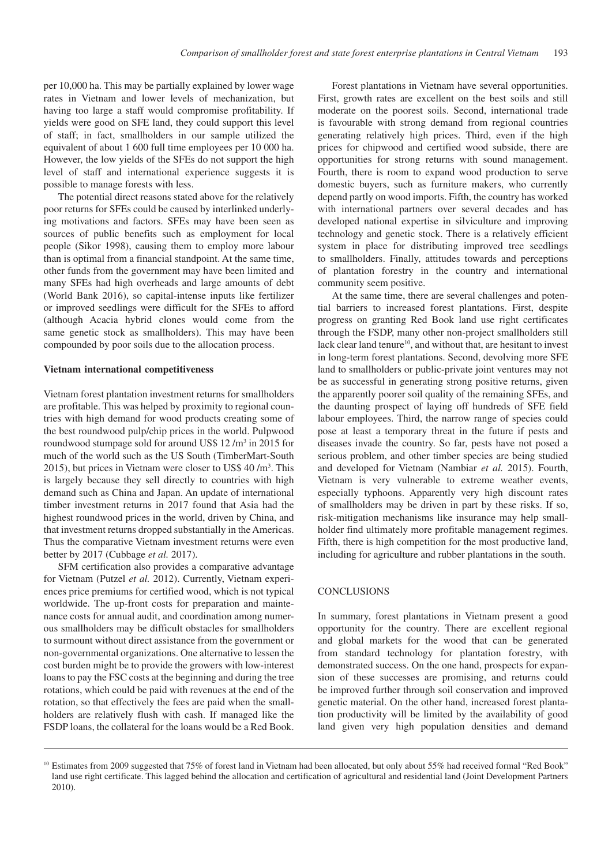per 10,000 ha. This may be partially explained by lower wage rates in Vietnam and lower levels of mechanization, but having too large a staff would compromise profitability. If yields were good on SFE land, they could support this level of staff; in fact, smallholders in our sample utilized the equivalent of about 1 600 full time employees per 10 000 ha. However, the low yields of the SFEs do not support the high level of staff and international experience suggests it is possible to manage forests with less.

The potential direct reasons stated above for the relatively poor returns for SFEs could be caused by interlinked underlying motivations and factors. SFEs may have been seen as sources of public benefits such as employment for local people (Sikor 1998), causing them to employ more labour than is optimal from a financial standpoint. At the same time, other funds from the government may have been limited and many SFEs had high overheads and large amounts of debt (World Bank 2016), so capital-intense inputs like fertilizer or improved seedlings were difficult for the SFEs to afford (although Acacia hybrid clones would come from the same genetic stock as smallholders). This may have been compounded by poor soils due to the allocation process.

## **Vietnam international competitiveness**

Vietnam forest plantation investment returns for smallholders are profitable. This was helped by proximity to regional countries with high demand for wood products creating some of the best roundwood pulp/chip prices in the world. Pulpwood roundwood stumpage sold for around US\$ 12 /m<sup>3</sup> in 2015 for much of the world such as the US South (TimberMart-South 2015), but prices in Vietnam were closer to US\$ 40 /m<sup>3</sup>. This is largely because they sell directly to countries with high demand such as China and Japan. An update of international timber investment returns in 2017 found that Asia had the highest roundwood prices in the world, driven by China, and that investment returns dropped substantially in the Americas. Thus the comparative Vietnam investment returns were even better by 2017 (Cubbage *et al.* 2017).

SFM certification also provides a comparative advantage for Vietnam (Putzel *et al.* 2012). Currently, Vietnam experiences price premiums for certified wood, which is not typical worldwide. The up-front costs for preparation and maintenance costs for annual audit, and coordination among numerous smallholders may be difficult obstacles for smallholders to surmount without direct assistance from the government or non-governmental organizations. One alternative to lessen the cost burden might be to provide the growers with low-interest loans to pay the FSC costs at the beginning and during the tree rotations, which could be paid with revenues at the end of the rotation, so that effectively the fees are paid when the smallholders are relatively flush with cash. If managed like the FSDP loans, the collateral for the loans would be a Red Book.

Forest plantations in Vietnam have several opportunities. First, growth rates are excellent on the best soils and still moderate on the poorest soils. Second, international trade is favourable with strong demand from regional countries generating relatively high prices. Third, even if the high prices for chipwood and certified wood subside, there are opportunities for strong returns with sound management. Fourth, there is room to expand wood production to serve domestic buyers, such as furniture makers, who currently depend partly on wood imports. Fifth, the country has worked with international partners over several decades and has developed national expertise in silviculture and improving technology and genetic stock. There is a relatively efficient system in place for distributing improved tree seedlings to smallholders. Finally, attitudes towards and perceptions of plantation forestry in the country and international community seem positive.

At the same time, there are several challenges and potential barriers to increased forest plantations. First, despite progress on granting Red Book land use right certificates through the FSDP, many other non-project smallholders still lack clear land tenure<sup>10</sup>, and without that, are hesitant to invest in long-term forest plantations. Second, devolving more SFE land to smallholders or public-private joint ventures may not be as successful in generating strong positive returns, given the apparently poorer soil quality of the remaining SFEs, and the daunting prospect of laying off hundreds of SFE field labour employees. Third, the narrow range of species could pose at least a temporary threat in the future if pests and diseases invade the country. So far, pests have not posed a serious problem, and other timber species are being studied and developed for Vietnam (Nambiar *et al.* 2015). Fourth, Vietnam is very vulnerable to extreme weather events, especially typhoons. Apparently very high discount rates of smallholders may be driven in part by these risks. If so, risk-mitigation mechanisms like insurance may help smallholder find ultimately more profitable management regimes. Fifth, there is high competition for the most productive land, including for agriculture and rubber plantations in the south.

# **CONCLUSIONS**

In summary, forest plantations in Vietnam present a good opportunity for the country. There are excellent regional and global markets for the wood that can be generated from standard technology for plantation forestry, with demonstrated success. On the one hand, prospects for expansion of these successes are promising, and returns could be improved further through soil conservation and improved genetic material. On the other hand, increased forest plantation productivity will be limited by the availability of good land given very high population densities and demand

<sup>&</sup>lt;sup>10</sup> Estimates from 2009 suggested that 75% of forest land in Vietnam had been allocated, but only about 55% had received formal "Red Book" land use right certificate. This lagged behind the allocation and certification of agricultural and residential land (Joint Development Partners 2010).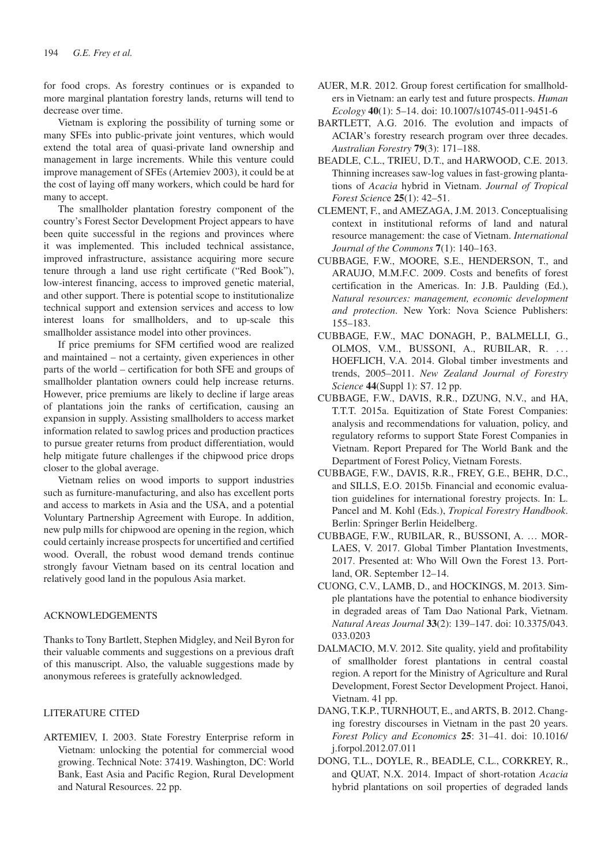for food crops. As forestry continues or is expanded to more marginal plantation forestry lands, returns will tend to decrease over time.

Vietnam is exploring the possibility of turning some or many SFEs into public-private joint ventures, which would extend the total area of quasi-private land ownership and management in large increments. While this venture could improve management of SFEs (Artemiev 2003), it could be at the cost of laying off many workers, which could be hard for many to accept.

The smallholder plantation forestry component of the country's Forest Sector Development Project appears to have been quite successful in the regions and provinces where it was implemented. This included technical assistance, improved infrastructure, assistance acquiring more secure tenure through a land use right certificate ("Red Book"), low-interest financing, access to improved genetic material, and other support. There is potential scope to institutionalize technical support and extension services and access to low interest loans for smallholders, and to up-scale this smallholder assistance model into other provinces.

If price premiums for SFM certified wood are realized and maintained – not a certainty, given experiences in other parts of the world – certification for both SFE and groups of smallholder plantation owners could help increase returns. However, price premiums are likely to decline if large areas of plantations join the ranks of certification, causing an expansion in supply. Assisting smallholders to access market information related to sawlog prices and production practices to pursue greater returns from product differentiation, would help mitigate future challenges if the chipwood price drops closer to the global average.

Vietnam relies on wood imports to support industries such as furniture-manufacturing, and also has excellent ports and access to markets in Asia and the USA, and a potential Voluntary Partnership Agreement with Europe. In addition, new pulp mills for chipwood are opening in the region, which could certainly increase prospects for uncertified and certified wood. Overall, the robust wood demand trends continue strongly favour Vietnam based on its central location and relatively good land in the populous Asia market.

# ACKNOWLEDGEMENTS

Thanks to Tony Bartlett, Stephen Midgley, and Neil Byron for their valuable comments and suggestions on a previous draft of this manuscript. Also, the valuable suggestions made by anonymous referees is gratefully acknowledged.

# LITERATURE CITED

ARTEMIEV, I. 2003. State Forestry Enterprise reform in Vietnam: unlocking the potential for commercial wood growing. Technical Note: 37419. Washington, DC: World Bank, East Asia and Pacific Region, Rural Development and Natural Resources. 22 pp.

- AUER, M.R. 2012. Group forest certification for smallholders in Vietnam: an early test and future prospects. *Human Ecology* **40**(1): 5–14. doi: 10.1007/s10745-011-9451-6
- BARTLETT, A.G. 2016. The evolution and impacts of ACIAR's forestry research program over three decades. *Australian Forestry* **79**(3): 171–188.
- BEADLE, C.L., TRIEU, D.T., and HARWOOD, C.E. 2013. Thinning increases saw-log values in fast-growing plantations of *Acacia* hybrid in Vietnam. *Journal of Tropical Forest Scienc*e **25**(1): 42–51.
- CLEMENT, F., and AMEZAGA, J.M. 2013. Conceptualising context in institutional reforms of land and natural resource management: the case of Vietnam. *International Journal of the Commons* **7**(1): 140–163.
- CUBBAGE, F.W., MOORE, S.E., HENDERSON, T., and ARAUJO, M.M.F.C. 2009. Costs and benefits of forest certification in the Americas. In: J.B. Paulding (Ed.), *Natural resources: management, economic development and protection*. New York: Nova Science Publishers: 155–183.
- CUBBAGE, F.W., MAC DONAGH, P., BALMELLI, G., OLMOS, V.M., BUSSONI, A., RUBILAR, R. . . . HOEFLICH, V.A. 2014. Global timber investments and trends, 2005–2011. *New Zealand Journal of Forestry Science* **44**(Suppl 1): S7. 12 pp.
- CUBBAGE, F.W., DAVIS, R.R., DZUNG, N.V., and HA, T.T.T. 2015a. Equitization of State Forest Companies: analysis and recommendations for valuation, policy, and regulatory reforms to support State Forest Companies in Vietnam. Report Prepared for The World Bank and the Department of Forest Policy, Vietnam Forests.
- CUBBAGE, F.W., DAVIS, R.R., FREY, G.E., BEHR, D.C., and SILLS, E.O. 2015b. Financial and economic evaluation guidelines for international forestry projects. In: L. Pancel and M. Kohl (Eds.), *Tropical Forestry Handbook*. Berlin: Springer Berlin Heidelberg.
- CUBBAGE, F.W., RUBILAR, R., BUSSONI, A. … MOR-LAES, V. 2017. Global Timber Plantation Investments, 2017. Presented at: Who Will Own the Forest 13. Portland, OR. September 12–14.
- CUONG, C.V., LAMB, D., and HOCKINGS, M. 2013. Simple plantations have the potential to enhance biodiversity in degraded areas of Tam Dao National Park, Vietnam. *Natural Areas Journal* **33**(2): 139–147. doi: 10.3375/043. 033.0203
- DALMACIO, M.V. 2012. Site quality, yield and profitability of smallholder forest plantations in central coastal region. A report for the Ministry of Agriculture and Rural Development, Forest Sector Development Project. Hanoi, Vietnam. 41 pp.
- DANG, T.K.P., TURNHOUT, E., and ARTS, B. 2012. Changing forestry discourses in Vietnam in the past 20 years. *Forest Policy and Economics* **25**: 31–41. doi: 10.1016/ j.forpol.2012.07.011
- DONG, T.L., DOYLE, R., BEADLE, C.L., CORKREY, R., and QUAT, N.X. 2014. Impact of short-rotation *Acacia*  hybrid plantations on soil properties of degraded lands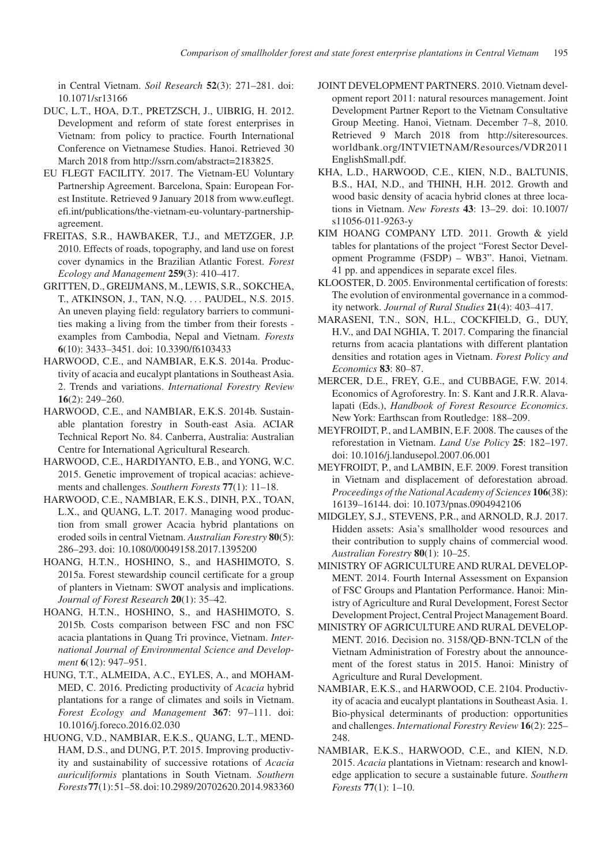in Central Vietnam. *Soil Research* **52**(3): 271–281. doi: 10.1071/sr13166

- DUC, L.T., HOA, D.T., PRETZSCH, J., UIBRIG, H. 2012. Development and reform of state forest enterprises in Vietnam: from policy to practice. Fourth International Conference on Vietnamese Studies. Hanoi. Retrieved 30 March 2018 from http://ssrn.com/abstract=2183825.
- EU FLEGT FACILITY. 2017. The Vietnam-EU Voluntary Partnership Agreement. Barcelona, Spain: European Forest Institute. Retrieved 9 January 2018 from www.euflegt. efi.int/publications/the-vietnam-eu-voluntary-partnershipagreement.
- FREITAS, S.R., HAWBAKER, T.J., and METZGER, J.P. 2010. Effects of roads, topography, and land use on forest cover dynamics in the Brazilian Atlantic Forest. *Forest Ecology and Management* **259**(3): 410–417.
- GRITTEN, D., GREIJMANS, M., LEWIS, S.R., SOKCHEA, T., ATKINSON, J., TAN, N.Q. . . . PAUDEL, N.S. 2015. An uneven playing field: regulatory barriers to communities making a living from the timber from their forests examples from Cambodia, Nepal and Vietnam. *Forests*  **6**(10): 3433–3451. doi: 10.3390/f6103433
- HARWOOD, C.E., and NAMBIAR, E.K.S. 2014a. Productivity of acacia and eucalypt plantations in Southeast Asia. 2. Trends and variations. *International Forestry Review*  **16**(2): 249–260.
- HARWOOD, C.E., and NAMBIAR, E.K.S. 2014b. Sustainable plantation forestry in South-east Asia. ACIAR Technical Report No. 84. Canberra, Australia: Australian Centre for International Agricultural Research.
- HARWOOD, C.E., HARDIYANTO, E.B., and YONG, W.C. 2015. Genetic improvement of tropical acacias: achievements and challenges. *Southern Forests* **77**(1): 11–18.
- HARWOOD, C.E., NAMBIAR, E.K.S., DINH, P.X., TOAN, L.X., and QUANG, L.T. 2017. Managing wood production from small grower Acacia hybrid plantations on eroded soils in central Vietnam. *Australian Forestry* **80**(5): 286–293. doi: 10.1080/00049158.2017.1395200
- HOANG, H.T.N., HOSHINO, S., and HASHIMOTO, S. 2015a. Forest stewardship council certificate for a group of planters in Vietnam: SWOT analysis and implications. *Journal of Forest Research* **20**(1): 35–42.
- HOANG, H.T.N., HOSHINO, S., and HASHIMOTO, S. 2015b. Costs comparison between FSC and non FSC acacia plantations in Quang Tri province, Vietnam. *International Journal of Environmental Science and Development* **6**(12): 947–951.
- HUNG, T.T., ALMEIDA, A.C., EYLES, A., and MOHAM-MED, C. 2016. Predicting productivity of *Acacia* hybrid plantations for a range of climates and soils in Vietnam. *Forest Ecology and Management* **367**: 97–111. doi: 10.1016/j.foreco.2016.02.030
- HUONG, V.D., NAMBIAR, E.K.S., QUANG, L.T., MEND-HAM, D.S., and DUNG, P.T. 2015. Improving productivity and sustainability of successive rotations of *Acacia auriculiformis* plantations in South Vietnam. *Southern Forests***77**(1): 51–58. doi: 10.2989/20702620.2014.983360
- JOINT DEVELOPMENT PARTNERS. 2010. Vietnam development report 2011: natural resources management. Joint Development Partner Report to the Vietnam Consultative Group Meeting. Hanoi, Vietnam. December 7–8, 2010. Retrieved 9 March 2018 from http://siteresources. worldbank.org/INTVIETNAM/Resources/VDR2011 EnglishSmall.pdf.
- KHA, L.D., HARWOOD, C.E., KIEN, N.D., BALTUNIS, B.S., HAI, N.D., and THINH, H.H. 2012. Growth and wood basic density of acacia hybrid clones at three locations in Vietnam. *New Forests* **43**: 13–29. doi: 10.1007/ s11056-011-9263-y
- KIM HOANG COMPANY LTD. 2011. Growth & yield tables for plantations of the project "Forest Sector Development Programme (FSDP) – WB3". Hanoi, Vietnam. 41 pp. and appendices in separate excel files.
- KLOOSTER, D. 2005. Environmental certification of forests: The evolution of environmental governance in a commodity network. *Journal of Rural Studies* **21**(4): 403–417.
- MARASENI, T.N., SON, H.L., COCKFIELD, G., DUY, H.V., and DAI NGHIA, T. 2017. Comparing the financial returns from acacia plantations with different plantation densities and rotation ages in Vietnam. *Forest Policy and Economics* **83**: 80–87.
- MERCER, D.E., FREY, G.E., and CUBBAGE, F.W. 2014. Economics of Agroforestry. In: S. Kant and J.R.R. Alavalapati (Eds.), *Handbook of Forest Resource Economics*. New York: Earthscan from Routledge: 188–209.
- MEYFROIDT, P., and LAMBIN, E.F. 2008. The causes of the reforestation in Vietnam. *Land Use Policy* **25**: 182–197. doi: 10.1016/j.landusepol.2007.06.001
- MEYFROIDT, P., and LAMBIN, E.F. 2009. Forest transition in Vietnam and displacement of deforestation abroad. *Proceedings of the National Academy of Sciences* **106**(38): 16139–16144. doi: 10.1073/pnas.0904942106
- MIDGLEY, S.J., STEVENS, P.R., and ARNOLD, R.J. 2017. Hidden assets: Asia's smallholder wood resources and their contribution to supply chains of commercial wood. *Australian Forestry* **80**(1): 10–25.
- MINISTRY OF AGRICULTURE AND RURAL DEVELOP-MENT. 2014. Fourth Internal Assessment on Expansion of FSC Groups and Plantation Performance. Hanoi: Ministry of Agriculture and Rural Development, Forest Sector Development Project, Central Project Management Board.
- MINISTRY OF AGRICULTURE AND RURAL DEVELOP-MENT. 2016. Decision no. 3158/QÐ-BNN-TCLN of the Vietnam Administration of Forestry about the announcement of the forest status in 2015. Hanoi: Ministry of Agriculture and Rural Development.
- NAMBIAR, E.K.S., and HARWOOD, C.E. 2104. Productivity of acacia and eucalypt plantations in Southeast Asia. 1. Bio-physical determinants of production: opportunities and challenges. *International Forestry Review* **16**(2): 225– 248.
- NAMBIAR, E.K.S., HARWOOD, C.E., and KIEN, N.D. 2015. *Acacia* plantations in Vietnam: research and knowledge application to secure a sustainable future. *Southern Forests* **77**(1): 1–10.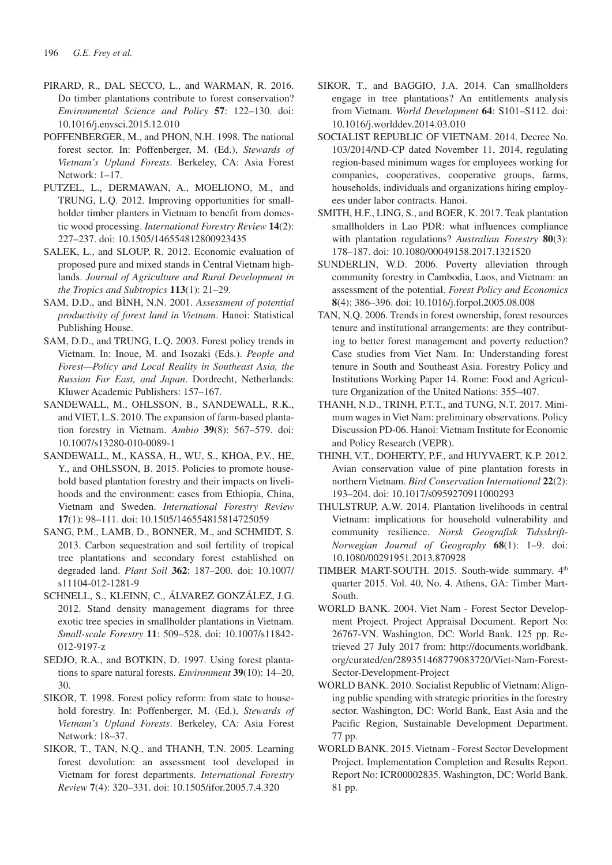- PIRARD, R., DAL SECCO, L., and WARMAN, R. 2016. Do timber plantations contribute to forest conservation? *Environmental Science and Policy* **57**: 122–130. doi: 10.1016/j.envsci.2015.12.010
- POFFENBERGER, M., and PHON, N.H. 1998. The national forest sector. In: Poffenberger, M. (Ed.), *Stewards of Vietnam's Upland Forests*. Berkeley, CA: Asia Forest Network: 1–17.
- PUTZEL, L., DERMAWAN, A., MOELIONO, M., and TRUNG, L.Q. 2012. Improving opportunities for smallholder timber planters in Vietnam to benefit from domestic wood processing. *International Forestry Review* **14**(2): 227–237. doi: 10.1505/146554812800923435
- SALEK, L., and SLOUP, R. 2012. Economic evaluation of proposed pure and mixed stands in Central Vietnam highlands. *Journal of Agriculture and Rural Development in the Tropics and Subtropics* **113**(1): 21–29.
- SAM, D.D., and BÌNH, N.N. 2001. *Assessment of potential productivity of forest land in Vietnam*. Hanoi: Statistical Publishing House.
- SAM, D.D., and TRUNG, L.Q. 2003. Forest policy trends in Vietnam. In: Inoue, M. and Isozaki (Eds.). *People and Forest—Policy and Local Reality in Southeast Asia, the Russian Far East, and Japan*. Dordrecht, Netherlands: Kluwer Academic Publishers: 157–167.
- SANDEWALL, M., OHLSSON, B., SANDEWALL, R.K., and VIET, L.S. 2010. The expansion of farm-based plantation forestry in Vietnam. *Ambio* **39**(8): 567–579. doi: 10.1007/s13280-010-0089-1
- SANDEWALL, M., KASSA, H., WU, S., KHOA, P.V., HE, Y., and OHLSSON, B. 2015. Policies to promote household based plantation forestry and their impacts on livelihoods and the environment: cases from Ethiopia, China, Vietnam and Sweden. *International Forestry Review*  **17**(1): 98–111. doi: 10.1505/146554815814725059
- SANG, P.M., LAMB, D., BONNER, M., and SCHMIDT, S. 2013. Carbon sequestration and soil fertility of tropical tree plantations and secondary forest established on degraded land. *Plant Soil* **362**: 187–200. doi: 10.1007/ s11104-012-1281-9
- SCHNELL, S., KLEINN, C., ÁLVAREZ GONZÁLEZ, J.G. 2012. Stand density management diagrams for three exotic tree species in smallholder plantations in Vietnam. *Small-scale Forestry* **11**: 509–528. doi: 10.1007/s11842- 012-9197-z
- SEDJO, R.A., and BOTKIN, D. 1997. Using forest plantations to spare natural forests. *Environment* **39**(10): 14–20, 30.
- SIKOR, T. 1998. Forest policy reform: from state to household forestry. In: Poffenberger, M. (Ed.), *Stewards of Vietnam's Upland Forests*. Berkeley, CA: Asia Forest Network: 18–37.
- SIKOR, T., TAN, N.Q., and THANH, T.N. 2005. Learning forest devolution: an assessment tool developed in Vietnam for forest departments. *International Forestry Review* **7**(4): 320–331. doi: 10.1505/ifor.2005.7.4.320
- SIKOR, T., and BAGGIO, J.A. 2014. Can smallholders engage in tree plantations? An entitlements analysis from Vietnam. *World Development* **64**: S101–S112. doi: 10.1016/j.worlddev.2014.03.010
- SOCIALIST REPUBLIC OF VIETNAM. 2014. Decree No. 103/2014/ND-CP dated November 11, 2014, regulating region-based minimum wages for employees working for companies, cooperatives, cooperative groups, farms, households, individuals and organizations hiring employees under labor contracts. Hanoi.
- SMITH, H.F., LING, S., and BOER, K. 2017. Teak plantation smallholders in Lao PDR: what influences compliance with plantation regulations? *Australian Forestry* **80**(3): 178–187. doi: 10.1080/00049158.2017.1321520
- SUNDERLIN, W.D. 2006. Poverty alleviation through community forestry in Cambodia, Laos, and Vietnam: an assessment of the potential. *Forest Policy and Economics*  **8**(4): 386–396. doi: 10.1016/j.forpol.2005.08.008
- TAN, N.Q. 2006. Trends in forest ownership, forest resources tenure and institutional arrangements: are they contributing to better forest management and poverty reduction? Case studies from Viet Nam. In: Understanding forest tenure in South and Southeast Asia. Forestry Policy and Institutions Working Paper 14. Rome: Food and Agriculture Organization of the United Nations: 355–407.
- THANH, N.D., TRINH, P.T.T., and TUNG, N.T. 2017. Minimum wages in Viet Nam: preliminary observations. Policy Discussion PD-06. Hanoi: Vietnam Institute for Economic and Policy Research (VEPR).
- THINH, V.T., DOHERTY, P.F., and HUYVAERT, K.P. 2012. Avian conservation value of pine plantation forests in northern Vietnam. *Bird Conservation International* **22**(2): 193–204. doi: 10.1017/s0959270911000293
- THULSTRUP, A.W. 2014. Plantation livelihoods in central Vietnam: implications for household vulnerability and community resilience. *Norsk Geografisk Tidsskrift-Norwegian Journal of Geography* **68**(1): 1–9. doi: 10.1080/00291951.2013.870928
- TIMBER MART-SOUTH. 2015. South-wide summary. 4<sup>th</sup> quarter 2015. Vol. 40, No. 4. Athens, GA: Timber Mart-South.
- WORLD BANK. 2004. Viet Nam Forest Sector Development Project. Project Appraisal Document. Report No: 26767-VN. Washington, DC: World Bank. 125 pp. Retrieved 27 July 2017 from: http://documents.worldbank. org/curated/en/289351468779083720/Viet-Nam-Forest-Sector-Development-Project
- WORLD BANK. 2010. Socialist Republic of Vietnam: Aligning public spending with strategic priorities in the forestry sector. Washington, DC: World Bank, East Asia and the Pacific Region, Sustainable Development Department. 77 pp.
- WORLD BANK. 2015. Vietnam Forest Sector Development Project. Implementation Completion and Results Report. Report No: ICR00002835. Washington, DC: World Bank. 81 pp.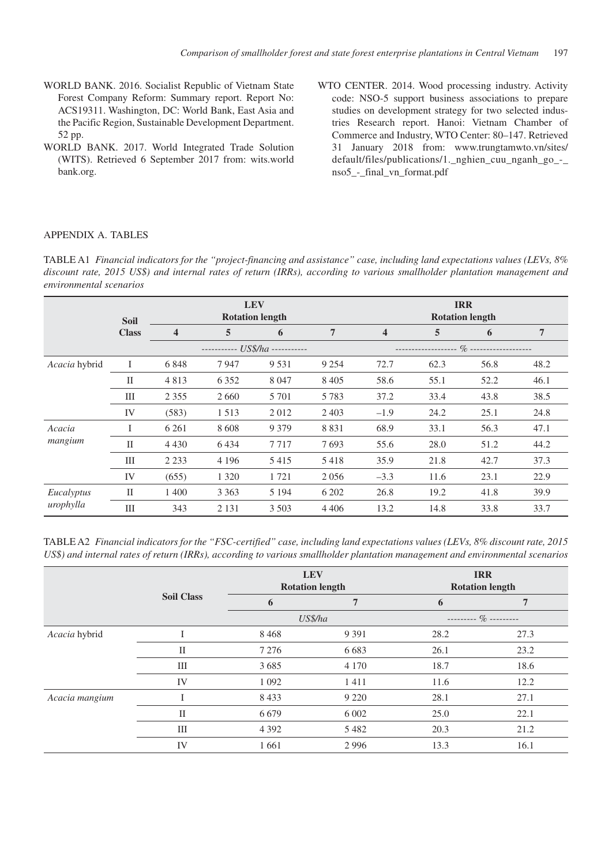- WORLD BANK. 2016. Socialist Republic of Vietnam State Forest Company Reform: Summary report. Report No: ACS19311. Washington, DC: World Bank, East Asia and the Pacific Region, Sustainable Development Department. 52 pp.
- WORLD BANK. 2017. World Integrated Trade Solution (WITS). Retrieved 6 September 2017 from: wits.world bank.org.
- WTO CENTER. 2014. Wood processing industry. Activity code: NSO-5 support business associations to prepare studies on development strategy for two selected industries Research report. Hanoi: Vietnam Chamber of Commerce and Industry, WTO Center: 80–147. Retrieved 31 January 2018 from: www.trungtamwto.vn/sites/ default/files/publications/1.\_nghien\_cuu\_nganh\_go\_-\_ nso5\_-\_final\_vn\_format.pdf

# APPENDIX A. TABLES

TABLE A1 *Financial indicators for the "project-financing and assistance" case, including land expectations values (LEVs, 8% discount rate, 2015 US\$) and internal rates of return (IRRs), according to various smallholder plantation management and environmental scenarios*

|               | <b>Soil</b>                     |                         | <b>LEV</b>     | <b>Rotation length</b> |         |                         | <b>IRR</b><br><b>Rotation length</b> |      |      |  |
|---------------|---------------------------------|-------------------------|----------------|------------------------|---------|-------------------------|--------------------------------------|------|------|--|
|               | <b>Class</b>                    | $\overline{\mathbf{4}}$ | 5              | 6                      | 7       | $\overline{\mathbf{4}}$ | 5                                    | 6    | 7    |  |
|               |                                 |                         | $------USS/ha$ |                        |         |                         | --- % --------------------           |      |      |  |
| Acacia hybrid | Ι                               | 6848                    | 7947           | 9 5 3 1                | 9 2 5 4 | 72.7                    | 62.3                                 | 56.8 | 48.2 |  |
|               | $\mathbf{I}$                    | 4813                    | 6 3 5 2        | 8 0 4 7                | 8 4 0 5 | 58.6                    | 55.1                                 | 52.2 | 46.1 |  |
|               | Ш                               | 2 3 5 5                 | 2 6 6 0        | 5 7 0 1                | 5 7 8 3 | 37.2                    | 33.4                                 | 43.8 | 38.5 |  |
|               | IV                              | (583)                   | 1513           | 2012                   | 2403    | $-1.9$                  | 24.2                                 | 25.1 | 24.8 |  |
| Acacia        | Ι                               | 6 2 6 1                 | 8 6 0 8        | 9 3 7 9                | 8 8 3 1 | 68.9                    | 33.1                                 | 56.3 | 47.1 |  |
| mangium       | $\mathbf{I}$                    | 4 4 3 0                 | 6434           | 7717                   | 7693    | 55.6                    | 28.0                                 | 51.2 | 44.2 |  |
|               | III                             | 2 2 3 3                 | 4 1 9 6        | 5415                   | 5418    | 35.9                    | 21.8                                 | 42.7 | 37.3 |  |
|               | IV                              | (655)                   | 1 3 2 0        | 1 7 2 1                | 2 0 5 6 | $-3.3$                  | 11.6                                 | 23.1 | 22.9 |  |
| Eucalyptus    | $\mathop{\mathrm{II}}\nolimits$ | 1 400                   | 3 3 6 3        | 5 1 9 4                | 6 202   | 26.8                    | 19.2                                 | 41.8 | 39.9 |  |
| urophylla     | IΙI                             | 343                     | 2 1 3 1        | 3 5 0 3                | 4 4 0 6 | 13.2                    | 14.8                                 | 33.8 | 33.7 |  |

TABLE A2 *Financial indicators for the "FSC-certified" case, including land expectations values (LEVs, 8% discount rate, 2015 US\$) and internal rates of return (IRRs), according to various smallholder plantation management and environmental scenarios*

|                |                   |         | <b>LEV</b><br><b>Rotation length</b> |               | <b>IRR</b><br><b>Rotation length</b> |
|----------------|-------------------|---------|--------------------------------------|---------------|--------------------------------------|
|                | <b>Soil Class</b> | 6       | 7                                    | 6             | $\overline{7}$                       |
|                |                   |         | US\$/ha                              | $\frac{1}{2}$ |                                      |
| Acacia hybrid  |                   | 8468    | 9 3 9 1                              | 28.2          | 27.3                                 |
|                | $\rm _{II}$       | 7 2 7 6 | 6 6 8 3                              | 26.1          | 23.2                                 |
|                | Ш                 | 3685    | 4 1 7 0                              | 18.7          | 18.6                                 |
|                | IV                | 1 0 9 2 | 1411                                 | 11.6          | 12.2                                 |
| Acacia mangium |                   | 8 4 3 3 | 9 2 2 0                              | 28.1          | 27.1                                 |
|                | $\mathbf{I}$      | 6 6 7 9 | 6 0 0 2                              | 25.0          | 22.1                                 |
|                | III               | 4 3 9 2 | 5 4 8 2                              | 20.3          | 21.2                                 |
|                | IV                | 1661    | 2996                                 | 13.3          | 16.1                                 |